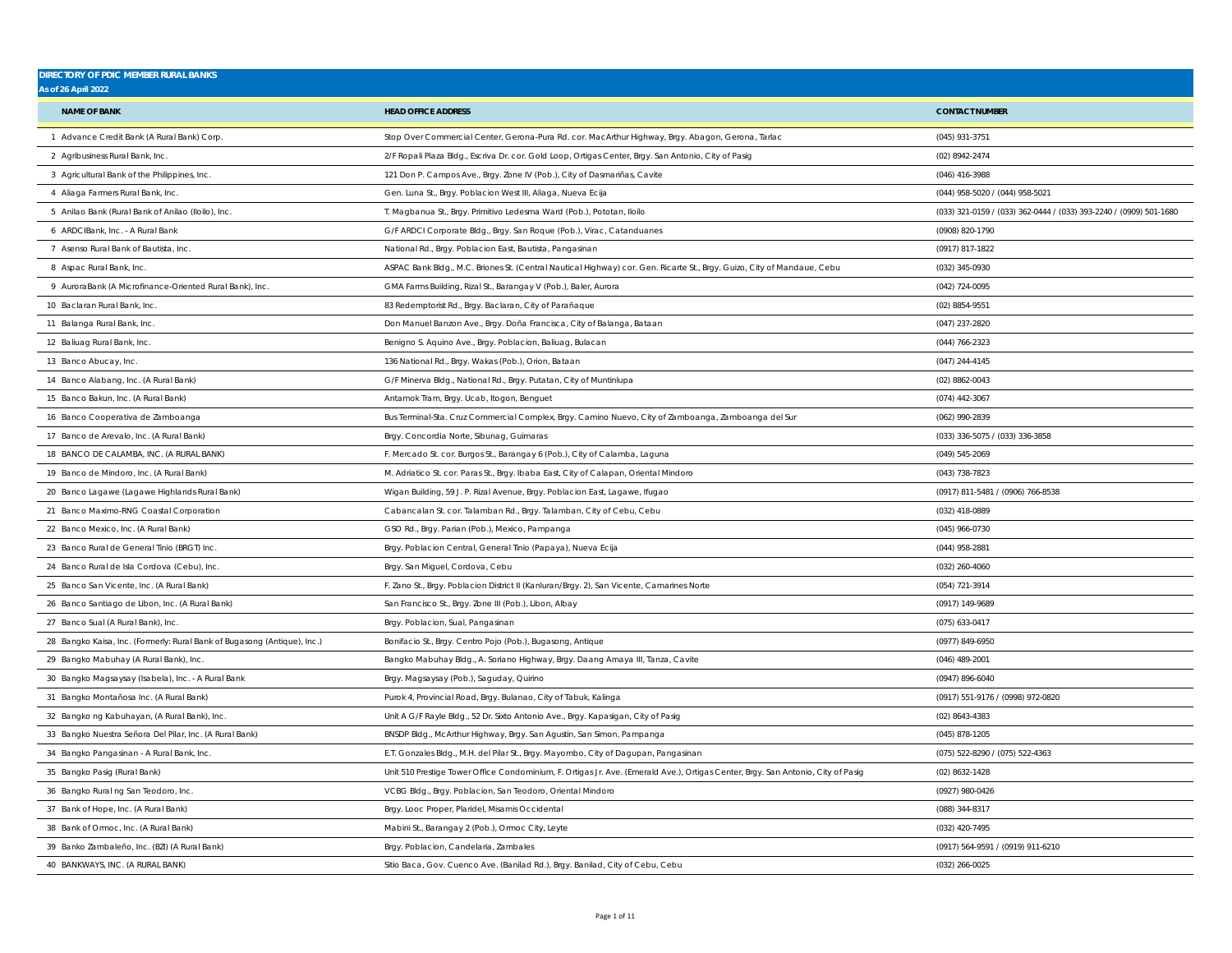| <b>DIRECTORY OF PDIC MEMBER RURAL BANKS</b>                              |                                                                                                                                  |                                                                    |
|--------------------------------------------------------------------------|----------------------------------------------------------------------------------------------------------------------------------|--------------------------------------------------------------------|
| As of 26 April 2022                                                      |                                                                                                                                  |                                                                    |
| <b>NAME OF BANK</b>                                                      | <b>HEAD OFFICE ADDRESS</b>                                                                                                       | <b>CONTACT NUMBER</b>                                              |
| 1 Advance Credit Bank (A Rural Bank) Corp.                               | Stop Over Commercial Center, Gerona-Pura Rd. cor. MacArthur Highway, Brgy. Abagon, Gerona, Tarlac                                | (045) 931-3751                                                     |
| 2 Agribusiness Rural Bank, Inc.                                          | 2/F Ropali Plaza Bldg., Escriva Dr. cor. Gold Loop, Ortigas Center, Brgy. San Antonio, City of Pasig                             | (02) 8942-2474                                                     |
| 3 Agricultural Bank of the Philippines, Inc.                             | 121 Don P. Campos Ave., Brgy. Zone IV (Pob.), City of Dasmariñas, Cavite                                                         | (046) 416-3988                                                     |
| 4 Aliaga Farmers Rural Bank, Inc.                                        | Gen. Luna St., Brgy. Poblacion West III, Aliaga, Nueva Ecija                                                                     | (044) 958-5020 / (044) 958-5021                                    |
| 5 Anilao Bank (Rural Bank of Anilao (Iloilo), Inc.                       | T. Magbanua St., Brgy. Primitivo Ledesma Ward (Pob.), Pototan, Iloilo                                                            | (033) 321-0159 / (033) 362-0444 / (033) 393-2240 / (0909) 501-1680 |
| 6 ARDCIBank, Inc. - A Rural Bank                                         | G/F ARDCI Corporate Bldg., Brgy. San Roque (Pob.), Virac, Catanduanes                                                            | (0908) 820-1790                                                    |
| 7 Asenso Rural Bank of Bautista, Inc.                                    | National Rd., Brgy. Poblacion East, Bautista, Pangasinan                                                                         | (0917) 817-1822                                                    |
| 8 Aspac Rural Bank, Inc.                                                 | ASPAC Bank Bldg., M.C. Briones St. (Central Nautical Highway) cor. Gen. Ricarte St., Brgy. Guizo, City of Mandaue, Cebu          | (032) 345-0930                                                     |
| 9 AuroraBank (A Microfinance-Oriented Rural Bank), Inc                   | GMA Farms Building, Rizal St., Barangay V (Pob.), Baler, Aurora                                                                  | (042) 724-0095                                                     |
| 10 Baclaran Rural Bank, Inc.                                             | 83 Redemptorist Rd., Brgy. Baclaran, City of Parañaque                                                                           | (02) 8854-9551                                                     |
| 11 Balanga Rural Bank, Inc.                                              | Don Manuel Banzon Ave., Brgy. Doña Francisca, City of Balanga, Bataan                                                            | (047) 237-2820                                                     |
| 12 Baliuag Rural Bank, Inc.                                              | Benigno S. Aquino Ave., Brgy. Poblacion, Baliuag, Bulacan                                                                        | $(044) 766 - 2323$                                                 |
| 13 Banco Abucay, Inc.                                                    | 136 National Rd., Brgy. Wakas (Pob.), Orion, Bataan                                                                              | $(047)$ 244-4145                                                   |
| 14 Banco Alabang, Inc. (A Rural Bank)                                    | G/F Minerva Bldg., National Rd., Brgy. Putatan, City of Muntinlupa                                                               | (02) 8862-0043                                                     |
| 15 Banco Bakun, Inc. (A Rural Bank)                                      | Antamok Tram, Brgy. Ucab, Itogon, Benguet                                                                                        | (074) 442-3067                                                     |
| 16 Banco Cooperativa de Zamboanga                                        | Bus Terminal-Sta. Cruz Commercial Complex, Brgy. Camino Nuevo, City of Zamboanga, Zamboanga del Sur                              | (062) 990-2839                                                     |
| 17 Banco de Arevalo, Inc. (A Rural Bank)                                 | Brgy. Concordia Norte, Sibunag, Guimaras                                                                                         | (033) 336-5075 / (033) 336-3858                                    |
| 18 BANCO DE CALAMBA, INC. (A RURAL BANK)                                 | F. Mercado St. cor. Burgos St., Barangay 6 (Pob.), City of Calamba, Laguna                                                       | (049) 545-2069                                                     |
| 19 Banco de Mindoro, Inc. (A Rural Bank)                                 | M. Adriatico St. cor. Paras St., Brgy. Ibaba East, City of Calapan, Oriental Mindoro                                             | (043) 738-7823                                                     |
| 20 Banco Lagawe (Lagawe Highlands Rural Bank)                            | Wigan Building, 59 J. P. Rizal Avenue, Brgy. Poblacion East, Lagawe, Ifugao                                                      | (0917) 811-5481 / (0906) 766-8538                                  |
| 21 Banco Maximo-RNG Coastal Corporation                                  | Cabancalan St. cor. Talamban Rd., Brgy. Talamban, City of Cebu, Cebu                                                             | (032) 418-0889                                                     |
| 22 Banco Mexico, Inc. (A Rural Bank)                                     | GSO Rd., Brgy. Parian (Pob.), Mexico, Pampanga                                                                                   | (045) 966-0730                                                     |
| 23 Banco Rural de General Tinio (BRGT) Inc.                              | Brgy. Poblacion Central, General Tinio (Papaya), Nueva Ecija                                                                     | (044) 958-2881                                                     |
| 24 Banco Rural de Isla Cordova (Cebu), Inc.                              | Brgy. San Miguel, Cordova, Cebu                                                                                                  | (032) 260-4060                                                     |
| 25 Banco San Vicente, Inc. (A Rural Bank)                                | F. Zano St., Brgy. Poblacion District II (Kanluran/Brgy. 2), San Vicente, Camarines Norte                                        | (054) 721-3914                                                     |
| 26 Banco Santiago de Libon, Inc. (A Rural Bank)                          | San Francisco St., Brgy. Zone III (Pob.), Libon, Albay                                                                           | (0917) 149-9689                                                    |
| 27 Banco Sual (A Rural Bank), Inc.                                       | Brgy. Poblacion, Sual, Pangasinan                                                                                                | (075) 633-0417                                                     |
| 28 Bangko Kaisa, Inc. (Formerly: Rural Bank of Bugasong (Antique), Inc.) | Bonifacio St., Brgy. Centro Pojo (Pob.), Bugasong, Antique                                                                       | (0977) 849-6950                                                    |
| 29 Bangko Mabuhay (A Rural Bank), Inc.                                   | Bangko Mabuhay Bldg., A. Soriano Highway, Brgy. Daang Amaya III, Tanza, Cavite                                                   | (046) 489-2001                                                     |
| 30 Bangko Magsaysay (Isabela), Inc. - A Rural Bank                       | Brgy. Magsaysay (Pob.), Saguday, Quirino                                                                                         | (0947) 896-6040                                                    |
| 31 Bangko Montañosa Inc. (A Rural Bank)                                  | Purok 4, Provincial Road, Brgy. Bulanao, City of Tabuk, Kalinga                                                                  | (0917) 551-9176 / (0998) 972-0820                                  |
| 32 Bangko ng Kabuhayan, (A Rural Bank), Inc.                             | Unit A G/F Rayle Bldg., 52 Dr. Sixto Antonio Ave., Brgy. Kapasigan, City of Pasig                                                | (02) 8643-4383                                                     |
| 33 Bangko Nuestra Señora Del Pilar, Inc. (A Rural Bank)                  | BNSDP Bldg., McArthur Highway, Brgy. San Agustin, San Simon, Pampanga                                                            | $(045)$ 878-1205                                                   |
| 34 Bangko Pangasinan - A Rural Bank, Inc.                                | E.T. Gonzales Bldg., M.H. del Pilar St., Brgy. Mayombo, City of Dagupan, Pangasinan                                              | (075) 522-8290 / (075) 522-4363                                    |
| 35 Bangko Pasig (Rural Bank)                                             | Unit 510 Prestige Tower Office Condominium, F. Ortigas Jr. Ave. (Emerald Ave.), Ortigas Center, Brgy. San Antonio, City of Pasig | (02) 8632-1428                                                     |
| 36 Bangko Rural ng San Teodoro, Inc.                                     | VCBG Bldg., Brgy. Poblacion, San Teodoro, Oriental Mindoro                                                                       | (0927) 980-0426                                                    |
| 37 Bank of Hope, Inc. (A Rural Bank)                                     | Brgy. Looc Proper, Plaridel, Misamis Occidental                                                                                  | (088) 344-8317                                                     |
| 38 Bank of Ormoc, Inc. (A Rural Bank)                                    | Mabini St., Barangay 2 (Pob.), Ormoc City, Leyte                                                                                 | (032) 420-7495                                                     |
| 39 Banko Zambaleño, Inc. (BZI) (A Rural Bank)                            | Brgy. Poblacion, Candelaria, Zambales                                                                                            | (0917) 564-9591 / (0919) 911-6210                                  |
| 40 BANKWAYS, INC. (A RURAL BANK)                                         | Sitio Baca, Gov. Cuenco Ave. (Banilad Rd.), Brgy. Banilad, City of Cebu, Cebu                                                    | (032) 266-0025                                                     |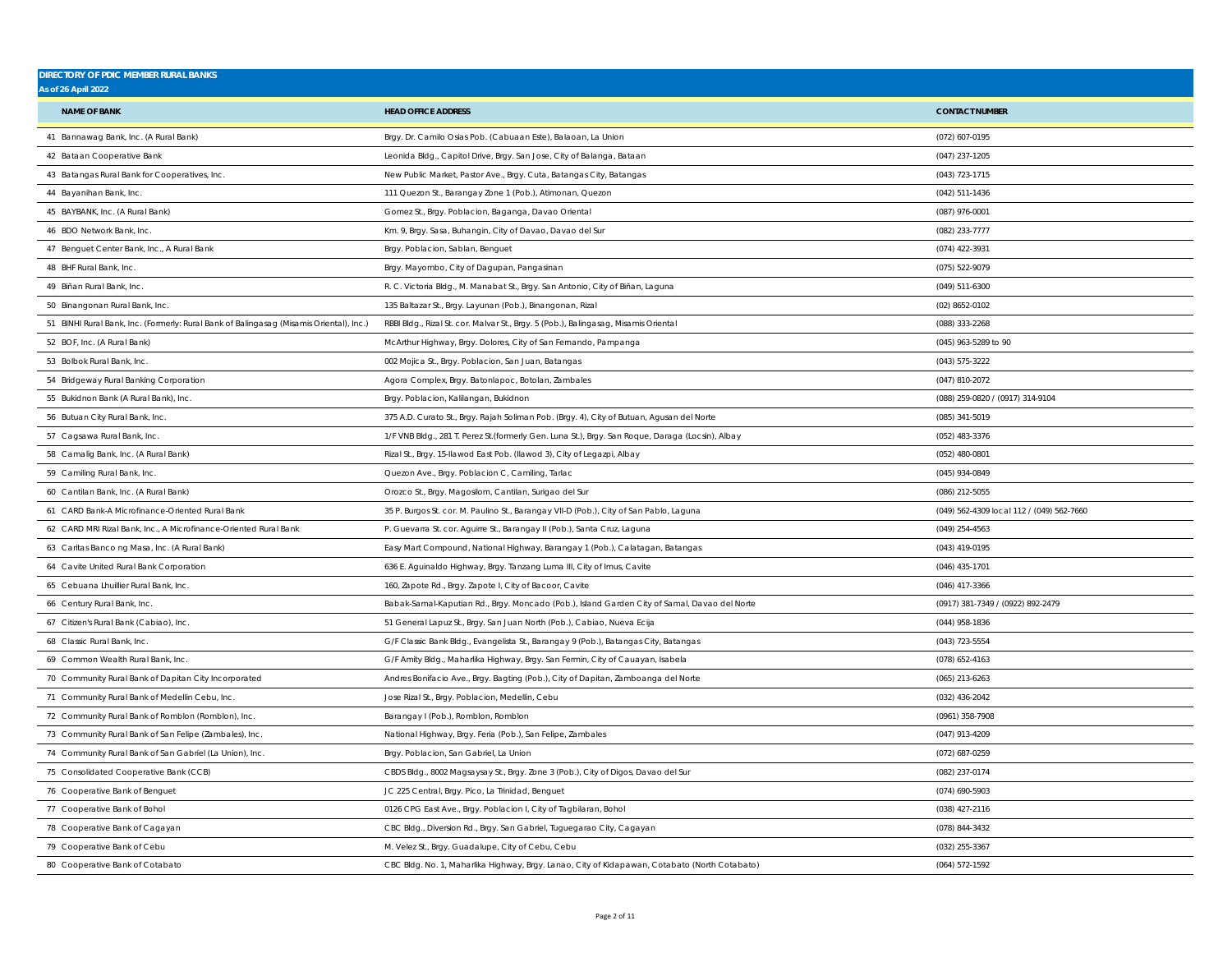| <b>DIRECTORY OF PDIC MEMBER RURAL BANKS</b>                                             |                                                                                                  |                                           |
|-----------------------------------------------------------------------------------------|--------------------------------------------------------------------------------------------------|-------------------------------------------|
| <b>As of 26 April 2022</b>                                                              |                                                                                                  |                                           |
| <b>NAME OF BANK</b>                                                                     | <b>HEAD OFFICE ADDRESS</b>                                                                       | <b>CONTACT NUMBER</b>                     |
| 41 Bannawag Bank, Inc. (A Rural Bank)                                                   | Brgy. Dr. Camilo Osias Pob. (Cabuaan Este), Balaoan, La Union                                    | (072) 607-0195                            |
| 42 Bataan Cooperative Bank                                                              | Leonida Bldg., Capitol Drive, Brgy. San Jose, City of Balanga, Bataan                            | $(047)$ 237-1205                          |
| 43 Batangas Rural Bank for Cooperatives, Inc.                                           | New Public Market, Pastor Ave., Brgy. Cuta, Batangas City, Batangas                              | (043) 723-1715                            |
| 44 Bayanihan Bank, Inc.                                                                 | 111 Quezon St., Barangay Zone 1 (Pob.), Atimonan, Quezon                                         | (042) 511-1436                            |
| 45 BAYBANK, Inc. (A Rural Bank)                                                         | Gomez St., Brgy. Poblacion, Baganga, Davao Oriental                                              | (087) 976-0001                            |
| 46 BDO Network Bank, Inc.                                                               | Km. 9, Brgy. Sasa, Buhangin, City of Davao, Davao del Sur                                        | (082) 233-7777                            |
| 47 Benguet Center Bank, Inc., A Rural Bank                                              | Brgy. Poblacion, Sablan, Benguet                                                                 | (074) 422-3931                            |
| 48 BHF Rural Bank, Inc.                                                                 | Brgy. Mayombo, City of Dagupan, Pangasinan                                                       | (075) 522-9079                            |
| 49 Biñan Rural Bank, Inc.                                                               | R. C. Victoria Bldg., M. Manabat St., Brgy. San Antonio, City of Biñan, Laguna                   | (049) 511-6300                            |
| 50 Binangonan Rural Bank, Inc.                                                          | 135 Baltazar St., Brgy. Layunan (Pob.), Binangonan, Rizal                                        | (02) 8652-0102                            |
| 51 BINHI Rural Bank, Inc. (Formerly: Rural Bank of Balingasag (Misamis Oriental), Inc.) | RBBI Bldg., Rizal St. cor. Malvar St., Brgy. 5 (Pob.), Balingasag, Misamis Oriental              | (088) 333-2268                            |
| 52 BOF, Inc. (A Rural Bank)                                                             | McArthur Highway, Brgy. Dolores, City of San Fernando, Pampanga                                  | (045) 963-5289 to 90                      |
| 53 Bolbok Rural Bank, Inc.                                                              | 002 Mojica St., Brgy. Poblacion, San Juan, Batangas                                              | (043) 575-3222                            |
| 54 Bridgeway Rural Banking Corporation                                                  | Agora Complex, Brgy. Batonlapoc, Botolan, Zambales                                               | (047) 810-2072                            |
| 55 Bukidnon Bank (A Rural Bank), Inc.                                                   | Brgy. Poblacion, Kalilangan, Bukidnon                                                            | (088) 259-0820 / (0917) 314-9104          |
| 56 Butuan City Rural Bank, Inc.                                                         | 375 A.D. Curato St., Brgy. Rajah Soliman Pob. (Brgy. 4), City of Butuan, Agusan del Norte        | (085) 341-5019                            |
| 57 Cagsawa Rural Bank, Inc.                                                             | 1/F VNB Bldg., 281 T. Perez St.(formerly Gen. Luna St.), Brgy. San Roque, Daraga (Locsin), Albay | (052) 483-3376                            |
| 58 Camalig Bank, Inc. (A Rural Bank)                                                    | Rizal St., Brgy. 15-llawod East Pob. (Ilawod 3), City of Legazpi, Albay                          | (052) 480-0801                            |
| 59 Camiling Rural Bank, Inc.                                                            | Quezon Ave., Brgy. Poblacion C, Camiling, Tarlac                                                 | (045) 934-0849                            |
| 60 Cantilan Bank, Inc. (A Rural Bank)                                                   | Orozco St., Brgy. Magosilom, Cantilan, Surigao del Sur                                           | (086) 212-5055                            |
| 61 CARD Bank-A Microfinance-Oriented Rural Bank                                         | 35 P. Burgos St. cor. M. Paulino St., Barangay VII-D (Pob.), City of San Pablo, Laguna           | (049) 562-4309 local 112 / (049) 562-7660 |
| 62 CARD MRI Rizal Bank, Inc., A Microfinance-Oriented Rural Bank                        | P. Guevarra St. cor. Aguirre St., Barangay II (Pob.), Santa Cruz, Laguna                         | $(049)$ 254-4563                          |
| 63 Caritas Banco ng Masa, Inc. (A Rural Bank)                                           | Easy Mart Compound, National Highway, Barangay 1 (Pob.), Calatagan, Batangas                     | (043) 419-0195                            |
| 64 Cavite United Rural Bank Corporation                                                 | 636 E. Aguinaldo Highway, Brgy. Tanzang Luma III, City of Imus, Cavite                           | (046) 435-1701                            |
| 65 Cebuana Lhuillier Rural Bank, Inc                                                    | 160, Zapote Rd., Brgy. Zapote I, City of Bacoor, Cavite                                          | (046) 417-3366                            |
| 66 Century Rural Bank, Inc.                                                             | Babak-Samal-Kaputian Rd., Brgy. Moncado (Pob.), Island Garden City of Samal, Davao del Norte     | (0917) 381-7349 / (0922) 892-2479         |
| 67 Citizen's Rural Bank (Cabiao), Inc.                                                  | 51 General Lapuz St., Brgy. San Juan North (Pob.), Cabiao, Nueva Ecija                           | (044) 958-1836                            |
| 68 Classic Rural Bank, Inc.                                                             | G/F Classic Bank Bldg., Evangelista St., Barangay 9 (Pob.), Batangas City, Batangas              | $(043)$ 723-5554                          |
| 69 Common Wealth Rural Bank, Inc.                                                       | G/F Amity Bldg., Maharlika Highway, Brgy. San Fermin, City of Cauayan, Isabela                   | (078) 652-4163                            |
| 70 Community Rural Bank of Dapitan City Incorporated                                    | Andres Bonifacio Ave., Brgy. Bagting (Pob.), City of Dapitan, Zamboanga del Norte                | $(065)$ 213-6263                          |
| 71 Community Rural Bank of Medellin Cebu, Inc.                                          | Jose Rizal St., Brgy. Poblacion, Medellin, Cebu                                                  | (032) 436-2042                            |
| 72 Community Rural Bank of Romblon (Romblon), Inc.                                      | Barangay I (Pob.), Romblon, Romblon                                                              | (0961) 358-7908                           |
| 73 Community Rural Bank of San Felipe (Zambales), Inc.                                  | National Highway, Brgy. Feria (Pob.), San Felipe, Zambales                                       | (047) 913-4209                            |
| 74 Community Rural Bank of San Gabriel (La Union), Inc.                                 | Brgy. Poblacion, San Gabriel, La Union                                                           | (072) 687-0259                            |
| 75 Consolidated Cooperative Bank (CCB)                                                  | CBDS Bldg., 8002 Magsaysay St., Brgy. Zone 3 (Pob.), City of Digos, Davao del Sur                | (082) 237-0174                            |
| 76 Cooperative Bank of Benguet                                                          | JC 225 Central, Brgy. Pico, La Trinidad, Benguet                                                 | (074) 690-5903                            |
| 77 Cooperative Bank of Bohol                                                            | 0126 CPG East Ave., Brgy. Poblacion I, City of Tagbilaran, Bohol                                 | (038) 427-2116                            |
| 78 Cooperative Bank of Cagayan                                                          | CBC Bldg., Diversion Rd., Brgy. San Gabriel, Tuguegarao City, Cagayan                            | (078) 844-3432                            |
| 79 Cooperative Bank of Cebu                                                             | M. Velez St., Brgy. Guadalupe, City of Cebu, Cebu                                                | $(032)$ 255-3367                          |
| 80 Cooperative Bank of Cotabato                                                         | CBC Bldg. No. 1, Maharlika Highway, Brgy. Lanao, City of Kidapawan, Cotabato (North Cotabato)    | (064) 572-1592                            |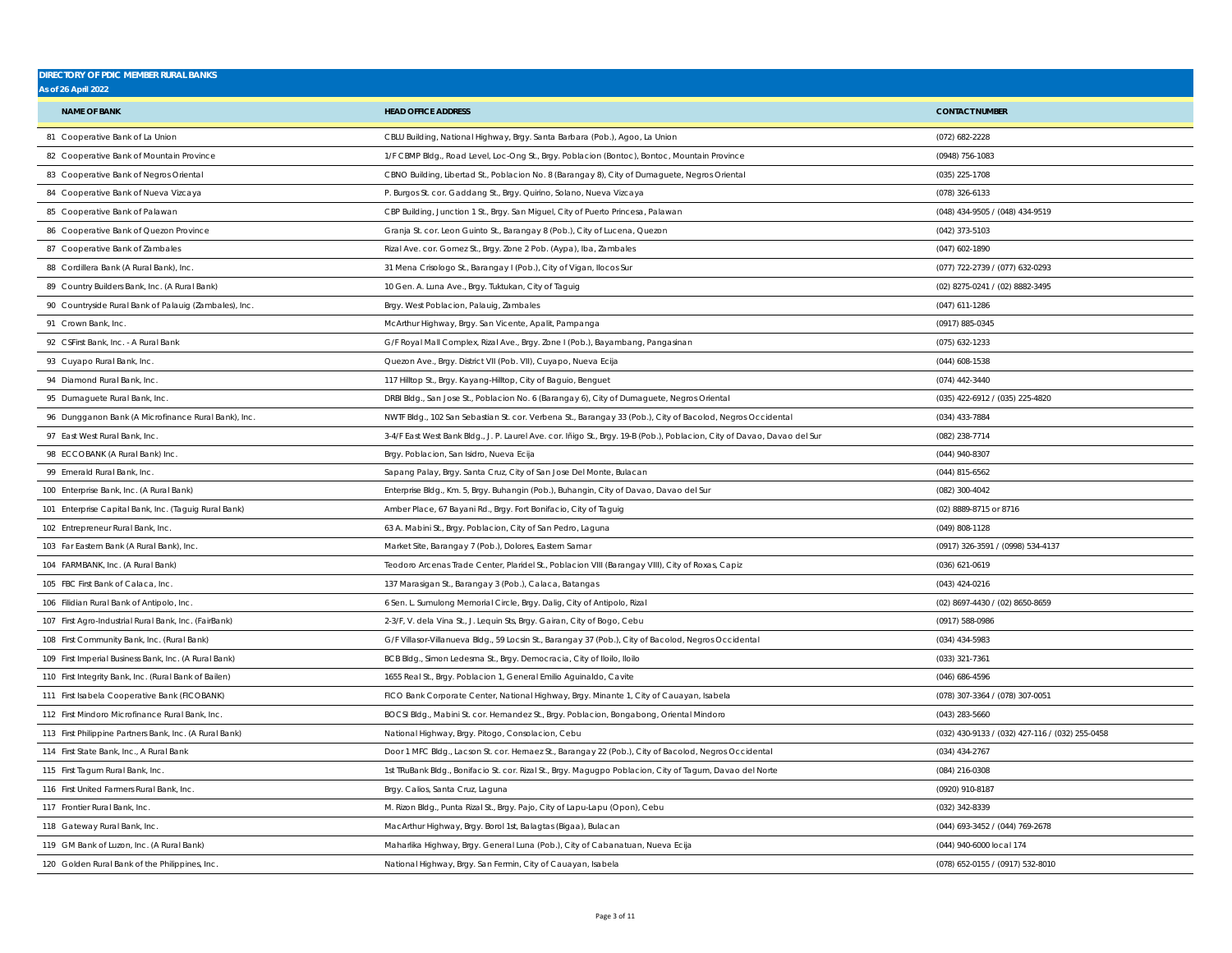| <b>DIRECTORY OF PDIC MEMBER RURAL BANKS</b><br><b>As of 26 April 2022</b> |                                                                                                                          |                                                 |
|---------------------------------------------------------------------------|--------------------------------------------------------------------------------------------------------------------------|-------------------------------------------------|
|                                                                           |                                                                                                                          |                                                 |
| <b>NAME OF BANK</b>                                                       | <b>HEAD OFFICE ADDRESS</b>                                                                                               | <b>CONTACT NUMBER</b>                           |
| 81 Cooperative Bank of La Union                                           | CBLU Building, National Highway, Brgy. Santa Barbara (Pob.), Agoo, La Union                                              | (072) 682-2228                                  |
| 82 Cooperative Bank of Mountain Province                                  | 1/F CBMP Bldg., Road Level, Loc-Ong St., Brgy. Poblacion (Bontoc), Bontoc, Mountain Province                             | (0948) 756-1083                                 |
| 83 Cooperative Bank of Negros Oriental                                    | CBNO Building, Libertad St., Poblacion No. 8 (Barangay 8), City of Dumaguete, Negros Oriental                            | (035) 225-1708                                  |
| 84 Cooperative Bank of Nueva Vizcaya                                      | P. Burgos St. cor. Gaddang St., Brgy. Quirino, Solano, Nueva Vizcaya                                                     | (078) 326-6133                                  |
| 85 Cooperative Bank of Palawan                                            | CBP Building, Junction 1 St., Brgy. San Miguel, City of Puerto Princesa, Palawan                                         | (048) 434-9505 / (048) 434-9519                 |
| 86 Cooperative Bank of Quezon Province                                    | Granja St. cor. Leon Guinto St., Barangay 8 (Pob.), City of Lucena, Quezon                                               | (042) 373-5103                                  |
| 87 Cooperative Bank of Zambales                                           | Rizal Ave. cor. Gomez St., Brgy. Zone 2 Pob. (Aypa), Iba, Zambales                                                       | (047) 602-1890                                  |
| 88 Cordillera Bank (A Rural Bank), Inc.                                   | 31 Mena Crisologo St., Barangay I (Pob.), City of Vigan, Ilocos Sur                                                      | (077) 722-2739 / (077) 632-0293                 |
| 89 Country Builders Bank, Inc. (A Rural Bank)                             | 10 Gen. A. Luna Ave., Brgy. Tuktukan, City of Taguig                                                                     | (02) 8275-0241 / (02) 8882-3495                 |
| 90 Countryside Rural Bank of Palauig (Zambales), Inc.                     | Brgy. West Poblacion, Palauig, Zambales                                                                                  | (047) 611-1286                                  |
| 91 Crown Bank, Inc.                                                       | McArthur Highway, Brgy. San Vicente, Apalit, Pampanga                                                                    | (0917) 885-0345                                 |
| 92 CSFirst Bank, Inc. - A Rural Bank                                      | G/F Royal Mall Complex, Rizal Ave., Brgy. Zone I (Pob.), Bayambang, Pangasinan                                           | (075) 632-1233                                  |
| 93 Cuyapo Rural Bank, Inc.                                                | Quezon Ave., Brgy. District VII (Pob. VII), Cuyapo, Nueva Ecija                                                          | (044) 608-1538                                  |
| 94 Diamond Rural Bank, Inc.                                               | 117 Hilltop St., Brgy. Kayang-Hilltop, City of Baguio, Benguet                                                           | (074) 442-3440                                  |
| 95 Dumaguete Rural Bank, Inc.                                             | DRBI Bldg., San Jose St., Poblacion No. 6 (Barangay 6), City of Dumaguete, Negros Oriental                               | (035) 422-6912 / (035) 225-4820                 |
| 96 Dungganon Bank (A Microfinance Rural Bank), Inc.                       | NWTF Bldg., 102 San Sebastian St. cor. Verbena St., Barangay 33 (Pob.), City of Bacolod, Negros Occidental               | (034) 433-7884                                  |
| 97 East West Rural Bank, Inc.                                             | 3-4/F East West Bank Bldg., J. P. Laurel Ave. cor. Iñigo St., Brgy. 19-B (Pob.), Poblacion, City of Davao, Davao del Sur | (082) 238-7714                                  |
| 98 ECCOBANK (A Rural Bank) Inc.                                           | Brgy. Poblacion, San Isidro, Nueva Ecija                                                                                 | (044) 940-8307                                  |
| 99 Emerald Rural Bank, Inc.                                               | Sapang Palay, Brgy. Santa Cruz, City of San Jose Del Monte, Bulacan                                                      | $(044)$ 815-6562                                |
| 100 Enterprise Bank, Inc. (A Rural Bank)                                  | Enterprise Bldg., Km. 5, Brgy. Buhangin (Pob.), Buhangin, City of Davao, Davao del Sur                                   | (082) 300-4042                                  |
| 101 Enterprise Capital Bank, Inc. (Taguig Rural Bank)                     | Amber Place, 67 Bayani Rd., Brgy. Fort Bonifacio, City of Taguig                                                         | (02) 8889-8715 or 8716                          |
| 102 Entrepreneur Rural Bank, Inc.                                         | 63 A. Mabini St., Brgy. Poblacion, City of San Pedro, Laguna                                                             | (049) 808-1128                                  |
| 103 Far Eastern Bank (A Rural Bank), Inc.                                 | Market Site, Barangay 7 (Pob.), Dolores, Eastern Samar                                                                   | (0917) 326-3591 / (0998) 534-4137               |
| 104 FARMBANK, Inc. (A Rural Bank)                                         | Teodoro Arcenas Trade Center, Plaridel St., Poblacion VIII (Barangay VIII), City of Roxas, Capiz                         | (036) 621-0619                                  |
| 105 FBC First Bank of Calaca, Inc.                                        | 137 Marasigan St., Barangay 3 (Pob.), Calaca, Batangas                                                                   | (043) 424-0216                                  |
| 106 Filidian Rural Bank of Antipolo, Inc.                                 | 6 Sen. L. Sumulong Memorial Circle, Brgy. Dalig, City of Antipolo, Rizal                                                 | (02) 8697-4430 / (02) 8650-8659                 |
| 107 First Agro-Industrial Rural Bank, Inc. (FairBank)                     | 2-3/F, V. dela Vina St., J. Lequin Sts, Brgy. Gairan, City of Bogo, Cebu                                                 | (0917) 588-0986                                 |
| 108 First Community Bank, Inc. (Rural Bank)                               | G/F Villasor-Villanueva Bldg., 59 Locsin St., Barangay 37 (Pob.), City of Bacolod, Negros Occidental                     | (034) 434-5983                                  |
| 109 First Imperial Business Bank, Inc. (A Rural Bank)                     | BCB Bldg., Simon Ledesma St., Brgy. Democracia, City of Iloilo, Iloilo                                                   | (033) 321-7361                                  |
| 110 First Integrity Bank, Inc. (Rural Bank of Bailen)                     | 1655 Real St., Brgy. Poblacion 1, General Emilio Aguinaldo, Cavite                                                       | (046) 686-4596                                  |
| 111 First Isabela Cooperative Bank (FICOBANK)                             | FICO Bank Corporate Center, National Highway, Brgy. Minante 1, City of Cauayan, Isabela                                  | (078) 307-3364 / (078) 307-0051                 |
| 112 First Mindoro Microfinance Rural Bank, Inc.                           | BOCSI Bldg., Mabini St. cor. Hernandez St., Brgy. Poblacion, Bongabong, Oriental Mindoro                                 | $(043)$ 283-5660                                |
| 113 First Philippine Partners Bank, Inc. (A Rural Bank)                   | National Highway, Brgy. Pitogo, Consolacion, Cebu                                                                        | (032) 430-9133 / (032) 427-116 / (032) 255-0458 |
| 114 First State Bank, Inc., A Rural Bank                                  | Door 1 MFC Bldg., Lacson St. cor. Hernaez St., Barangay 22 (Pob.), City of Bacolod, Negros Occidental                    | $(034)$ 434-2767                                |
| 115 First Tagum Rural Bank, Inc.                                          | 1st TRuBank Bldg., Bonifacio St. cor. Rizal St., Brgy. Magugpo Poblacion, City of Tagum, Davao del Norte                 | (084) 216-0308                                  |
| 116 First United Farmers Rural Bank, Inc.                                 | Brgy. Calios, Santa Cruz, Laguna                                                                                         | (0920) 910-8187                                 |
| 117 Frontier Rural Bank, Inc.                                             | M. Rizon Bldg., Punta Rizal St., Brgy. Pajo, City of Lapu-Lapu (Opon), Cebu                                              | (032) 342-8339                                  |
| 118 Gateway Rural Bank, Inc.                                              | MacArthur Highway, Brgy. Borol 1st, Balagtas (Bigaa), Bulacan                                                            | (044) 693-3452 / (044) 769-2678                 |
| 119 GM Bank of Luzon, Inc. (A Rural Bank)                                 | Maharlika Highway, Brgy. General Luna (Pob.), City of Cabanatuan, Nueva Ecija                                            | (044) 940-6000 local 174                        |
| 120 Golden Rural Bank of the Philippines, Inc.                            | National Highway, Brgy. San Fermin, City of Cauayan, Isabela                                                             | (078) 652-0155 / (0917) 532-8010                |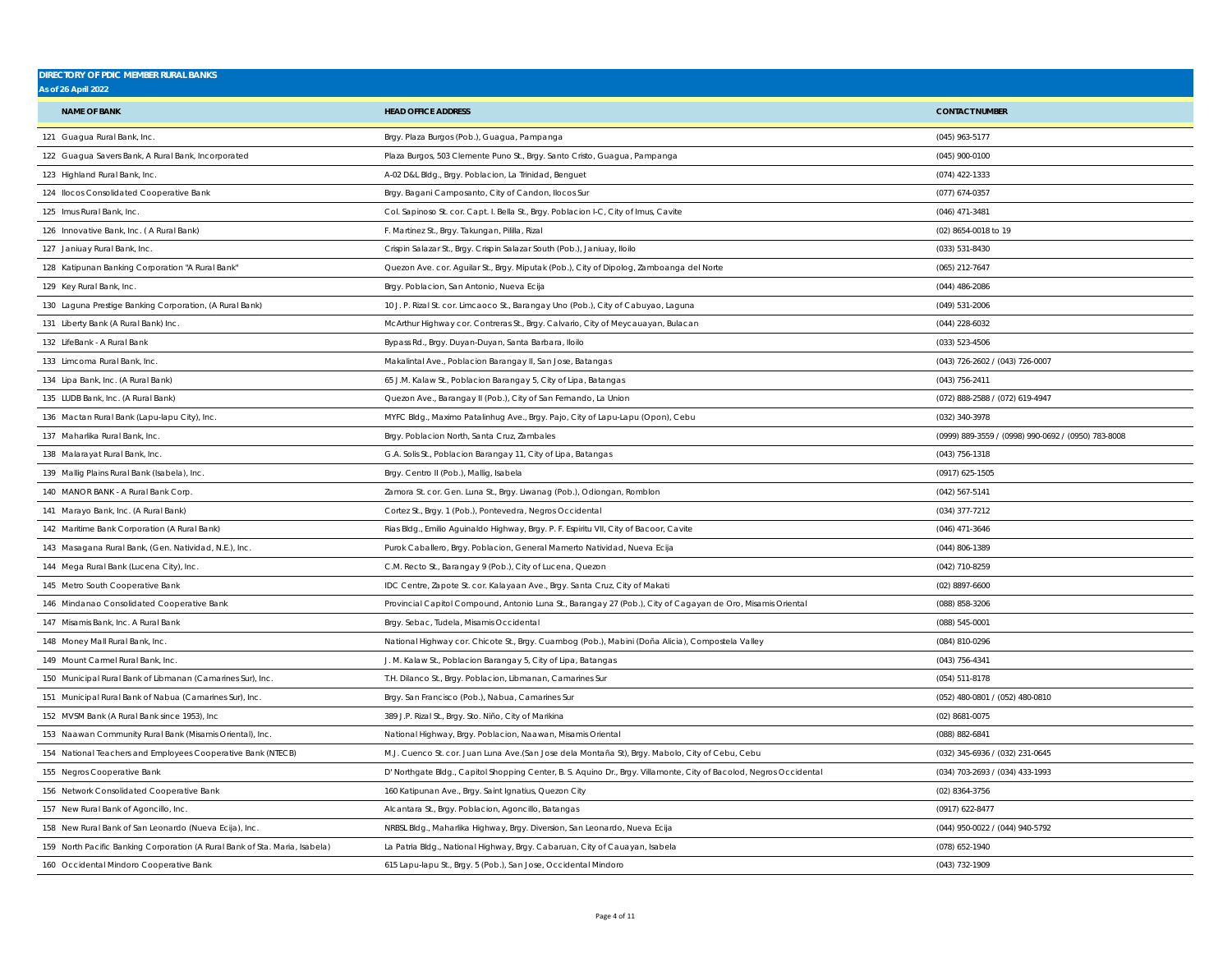| <b>DIRECTORY OF PDIC MEMBER RURAL BANKS</b><br><b>As of 26 April 2022</b>   |                                                                                                                     |                                                     |
|-----------------------------------------------------------------------------|---------------------------------------------------------------------------------------------------------------------|-----------------------------------------------------|
|                                                                             |                                                                                                                     |                                                     |
| <b>NAME OF BANK</b>                                                         | <b>HEAD OFFICE ADDRESS</b>                                                                                          | <b>CONTACT NUMBER</b>                               |
| 121 Guagua Rural Bank, Inc.                                                 | Brgy. Plaza Burgos (Pob.), Guagua, Pampanga                                                                         | (045) 963-5177                                      |
| 122 Guagua Savers Bank, A Rural Bank, Incorporated                          | Plaza Burgos, 503 Clemente Puno St., Brgy. Santo Cristo, Guagua, Pampanga                                           | (045) 900-0100                                      |
| 123 Highland Rural Bank, Inc.                                               | A-02 D&L Bldg., Brgy. Poblacion, La Trinidad, Benguet                                                               | (074) 422-1333                                      |
| 124 Ilocos Consolidated Cooperative Bank                                    | Brgy. Bagani Camposanto, City of Candon, Ilocos Sur                                                                 | (077) 674-0357                                      |
| 125 Imus Rural Bank, Inc.                                                   | Col. Sapinoso St. cor. Capt. I. Bella St., Brgy. Poblacion I-C, City of Imus, Cavite                                | (046) 471-3481                                      |
| 126 Innovative Bank, Inc. (A Rural Bank)                                    | F. Martinez St., Brgy. Takungan, Pililla, Rizal                                                                     | (02) 8654-0018 to 19                                |
| 127 Janiuay Rural Bank, Inc.                                                | Crispin Salazar St., Brgy. Crispin Salazar South (Pob.), Janiuay, Iloilo                                            | (033) 531-8430                                      |
| 128 Katipunan Banking Corporation "A Rural Bank"                            | Quezon Ave. cor. Aguilar St., Brgy. Miputak (Pob.), City of Dipolog, Zamboanga del Norte                            | (065) 212-7647                                      |
| 129 Key Rural Bank, Inc.                                                    | Brgy. Poblacion, San Antonio, Nueva Ecija                                                                           | $(044)$ 486-2086                                    |
| 130 Laguna Prestige Banking Corporation, (A Rural Bank)                     | 10 J. P. Rizal St. cor. Limcaoco St., Barangay Uno (Pob.), City of Cabuyao, Laguna                                  | (049) 531-2006                                      |
| 131 Liberty Bank (A Rural Bank) Inc.                                        | McArthur Highway cor. Contreras St., Brgy. Calvario, City of Meycauayan, Bulacan                                    | (044) 228-6032                                      |
| 132 LifeBank - A Rural Bank                                                 | Bypass Rd., Brgy. Duyan-Duyan, Santa Barbara, Iloilo                                                                | (033) 523-4506                                      |
| 133 Limcoma Rural Bank, Inc.                                                | Makalintal Ave., Poblacion Barangay II, San Jose, Batangas                                                          | (043) 726-2602 / (043) 726-0007                     |
| 134 Lipa Bank, Inc. (A Rural Bank)                                          | 65 J.M. Kalaw St., Poblacion Barangay 5, City of Lipa, Batangas                                                     | (043) 756-2411                                      |
| 135 LUDB Bank, Inc. (A Rural Bank)                                          | Quezon Ave., Barangay II (Pob.), City of San Fernando, La Union                                                     | (072) 888-2588 / (072) 619-4947                     |
| 136 Mactan Rural Bank (Lapu-lapu City), Inc.                                | MYFC Bldg., Maximo Patalinhug Ave., Brgy. Pajo, City of Lapu-Lapu (Opon), Cebu                                      | (032) 340-3978                                      |
| 137 Maharlika Rural Bank, Inc.                                              | Brgy. Poblacion North, Santa Cruz, Zambales                                                                         | (0999) 889-3559 / (0998) 990-0692 / (0950) 783-8008 |
| 138 Malarayat Rural Bank, Inc.                                              | G.A. Solis St., Poblacion Barangay 11, City of Lipa, Batangas                                                       | (043) 756-1318                                      |
| 139 Mallig Plains Rural Bank (Isabela), Inc.                                | Brgy. Centro II (Pob.), Mallig, Isabela                                                                             | (0917) 625-1505                                     |
| 140 MANOR BANK - A Rural Bank Corp.                                         | Zamora St. cor. Gen. Luna St., Brgy. Liwanag (Pob.), Odiongan, Romblon                                              | (042) 567-5141                                      |
| 141 Marayo Bank, Inc. (A Rural Bank)                                        | Cortez St., Brgy. 1 (Pob.), Pontevedra, Negros Occidental                                                           | (034) 377-7212                                      |
| 142 Maritime Bank Corporation (A Rural Bank)                                | Rias Bldg., Emilio Aguinaldo Highway, Brgy. P. F. Espiritu VII, City of Bacoor, Cavite                              | (046) 471-3646                                      |
| 143 Masagana Rural Bank, (Gen. Natividad, N.E.), Inc.                       | Purok Caballero, Brgy. Poblacion, General Mamerto Natividad, Nueva Ecija                                            | (044) 806-1389                                      |
| 144 Mega Rural Bank (Lucena City), Inc.                                     | C.M. Recto St., Barangay 9 (Pob.), City of Lucena, Quezon                                                           | (042) 710-8259                                      |
| 145 Metro South Cooperative Bank                                            | IDC Centre, Zapote St. cor. Kalayaan Ave., Brgy. Santa Cruz, City of Makati                                         | $(02)$ 8897-6600                                    |
| 146 Mindanao Consolidated Cooperative Bank                                  | Provincial Capitol Compound, Antonio Luna St., Barangay 27 (Pob.), City of Cagayan de Oro, Misamis Oriental         | (088) 858-3206                                      |
| 147 Misamis Bank, Inc. A Rural Bank                                         | Brgy. Sebac, Tudela, Misamis Occidental                                                                             | $(088)$ 545-0001                                    |
| 148 Money Mall Rural Bank, Inc.                                             | National Highway cor. Chicote St., Brgy. Cuambog (Pob.), Mabini (Doña Alicia), Compostela Valley                    | (084) 810-0296                                      |
| 149 Mount Carmel Rural Bank, Inc.                                           | J. M. Kalaw St., Poblacion Barangay 5, City of Lipa, Batangas                                                       | (043) 756-4341                                      |
| 150 Municipal Rural Bank of Libmanan (Camarines Sur), Inc.                  | T.H. Dilanco St., Brgy. Poblacion, Libmanan, Camarines Sur                                                          | (054) 511-8178                                      |
| 151 Municipal Rural Bank of Nabua (Camarines Sur), Inc.                     | Brgy. San Francisco (Pob.), Nabua, Camarines Sur                                                                    | (052) 480-0801 / (052) 480-0810                     |
| 152 MVSM Bank (A Rural Bank since 1953), Inc                                | 389 J.P. Rizal St., Brgy. Sto. Niño, City of Marikina                                                               | (02) 8681-0075                                      |
| 153 Naawan Community Rural Bank (Misamis Oriental), Inc.                    | National Highway, Brgy. Poblacion, Naawan, Misamis Oriental                                                         | (088) 882-6841                                      |
| 154 National Teachers and Employees Cooperative Bank (NTECB)                | M.J. Cuenco St. cor. Juan Luna Ave.(San Jose dela Montaña St), Brgy. Mabolo, City of Cebu, Cebu                     | (032) 345-6936 / (032) 231-0645                     |
| 155 Negros Cooperative Bank                                                 | D' Northgate Bldg., Capitol Shopping Center, B. S. Aquino Dr., Brgy. Villamonte, City of Bacolod, Negros Occidental | (034) 703-2693 / (034) 433-1993                     |
| 156 Network Consolidated Cooperative Bank                                   | 160 Katipunan Ave., Brgy. Saint Ignatius, Quezon City                                                               | (02) 8364-3756                                      |
| 157 New Rural Bank of Agoncillo, Inc.                                       | Alcantara St., Brgy. Poblacion, Agoncillo, Batangas                                                                 | (0917) 622-8477                                     |
| 158 New Rural Bank of San Leonardo (Nueva Ecija), Inc.                      | NRBSL Bldg., Maharlika Highway, Brgy. Diversion, San Leonardo, Nueva Ecija                                          | (044) 950-0022 / (044) 940-5792                     |
| 159 North Pacific Banking Corporation (A Rural Bank of Sta. Maria, Isabela) | La Patria Bldg., National Highway, Brgy. Cabaruan, City of Cauayan, Isabela                                         | (078) 652-1940                                      |
| 160 Occidental Mindoro Cooperative Bank                                     | 615 Lapu-lapu St., Brgy. 5 (Pob.), San Jose, Occidental Mindoro                                                     | (043) 732-1909                                      |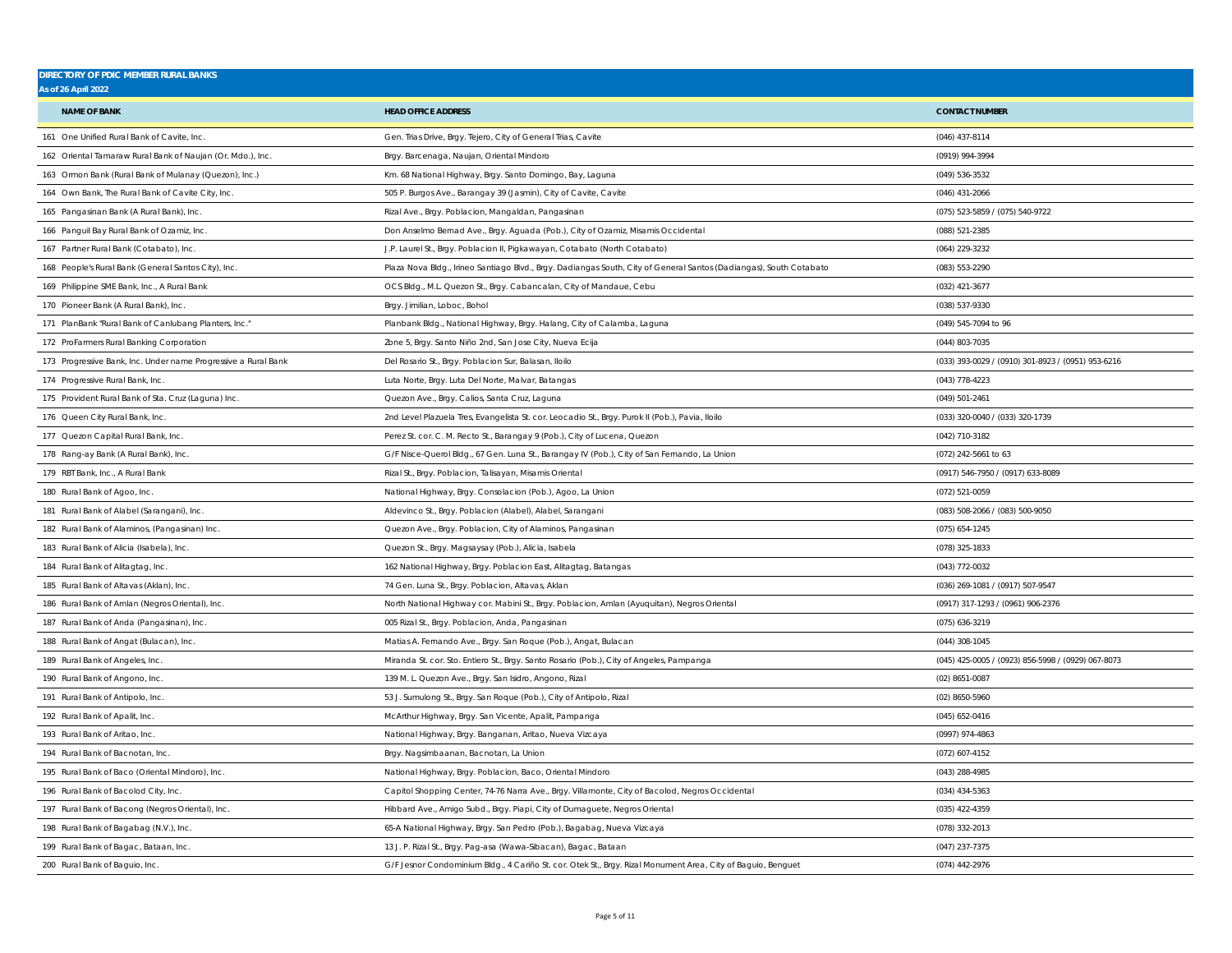| <b>DIRECTORY OF PDIC MEMBER RURAL BANKS</b>                    |                                                                                                                    |                                                    |
|----------------------------------------------------------------|--------------------------------------------------------------------------------------------------------------------|----------------------------------------------------|
| As of 26 April 2022                                            |                                                                                                                    |                                                    |
| <b>NAME OF BANK</b>                                            | <b>HEAD OFFICE ADDRESS</b>                                                                                         | <b>CONTACT NUMBER</b>                              |
| 161 One Unified Rural Bank of Cavite, Inc.                     | Gen. Trias Drive, Brgy. Tejero, City of General Trias, Cavite                                                      | (046) 437-8114                                     |
| 162 Oriental Tamaraw Rural Bank of Naujan (Or. Mdo.), Inc.     | Brgy. Barcenaga, Naujan, Oriental Mindoro                                                                          | (0919) 994-3994                                    |
| 163 Ormon Bank (Rural Bank of Mulanay (Quezon), Inc.)          | Km. 68 National Highway, Brgy. Santo Domingo, Bay, Laguna                                                          | (049) 536-3532                                     |
| 164 Own Bank, The Rural Bank of Cavite City, Inc.              | 505 P. Burgos Ave., Barangay 39 (Jasmin), City of Cavite, Cavite                                                   | (046) 431-2066                                     |
| 165 Pangasinan Bank (A Rural Bank), Inc.                       | Rizal Ave., Brgy. Poblacion, Mangaldan, Pangasinan                                                                 | (075) 523-5859 / (075) 540-9722                    |
| 166 Panguil Bay Rural Bank of Ozamiz, Inc.                     | Don Anselmo Bernad Ave., Brgy. Aguada (Pob.), City of Ozamiz, Misamis Occidental                                   | (088) 521-2385                                     |
| 167 Partner Rural Bank (Cotabato), Inc.                        | J.P. Laurel St., Brgy. Poblacion II, Pigkawayan, Cotabato (North Cotabato)                                         | (064) 229-3232                                     |
| 168 People's Rural Bank (General Santos City), Inc.            | Plaza Nova Bldg., Irineo Santiago Blvd., Brgy. Dadiangas South, City of General Santos (Dadiangas), South Cotabato | (083) 553-2290                                     |
| 169 Philippine SME Bank, Inc., A Rural Bank                    | OCS Bldg., M.L. Quezon St., Brgy. Cabancalan, City of Mandaue, Cebu                                                | (032) 421-3677                                     |
| 170 Pioneer Bank (A Rural Bank), Inc.                          | Brgy. Jimilian, Loboc, Bohol                                                                                       | (038) 537-9330                                     |
| 171 PlanBank "Rural Bank of Canlubang Planters, Inc."          | Planbank Bldg., National Highway, Brgy. Halang, City of Calamba, Laguna                                            | (049) 545-7094 to 96                               |
| 172 ProFarmers Rural Banking Corporation                       | Zone 5, Brgy. Santo Niño 2nd, San Jose City, Nueva Ecija                                                           | (044) 803-7035                                     |
| 173 Progressive Bank, Inc. Under name Progressive a Rural Bank | Del Rosario St., Brgy. Poblacion Sur, Balasan, Iloilo                                                              | (033) 393-0029 / (0910) 301-8923 / (0951) 953-6216 |
| 174 Progressive Rural Bank, Inc.                               | Luta Norte, Brgy. Luta Del Norte, Malvar, Batangas                                                                 | (043) 778-4223                                     |
| 175 Provident Rural Bank of Sta. Cruz (Laguna) Inc.            | Quezon Ave., Brgy. Calios, Santa Cruz, Laguna                                                                      | (049) 501-2461                                     |
| 176 Queen City Rural Bank, Inc.                                | 2nd Level Plazuela Tres, Evangelista St. cor. Leocadio St., Brgy. Purok II (Pob.), Pavia, Iloilo                   | (033) 320-0040 / (033) 320-1739                    |
| 177 Quezon Capital Rural Bank, Inc.                            | Perez St. cor. C. M. Recto St., Barangay 9 (Pob.), City of Lucena, Quezon                                          | (042) 710-3182                                     |
| 178 Rang-ay Bank (A Rural Bank), Inc.                          | G/F Nisce-Querol Bldg., 67 Gen. Luna St., Barangay IV (Pob.), City of San Fernando, La Union                       | (072) 242-5661 to 63                               |
| 179 RBT Bank, Inc., A Rural Bank                               | Rizal St., Brgy. Poblacion, Talisayan, Misamis Oriental                                                            | (0917) 546-7950 / (0917) 633-8089                  |
| 180 Rural Bank of Agoo, Inc.                                   | National Highway, Brgy. Consolacion (Pob.), Agoo, La Union                                                         | (072) 521-0059                                     |
| 181 Rural Bank of Alabel (Sarangani), Inc.                     | Aldevinco St., Brgy. Poblacion (Alabel), Alabel, Sarangani                                                         | (083) 508-2066 / (083) 500-9050                    |
| 182 Rural Bank of Alaminos, (Pangasinan) Inc.                  | Quezon Ave., Brgy. Poblacion, City of Alaminos, Pangasinan                                                         | (075) 654-1245                                     |
| 183 Rural Bank of Alicia (Isabela), Inc.                       | Quezon St., Brgy. Magsaysay (Pob.), Alicia, Isabela                                                                | (078) 325-1833                                     |
| 184 Rural Bank of Alitagtag, Inc.                              | 162 National Highway, Brgy. Poblacion East, Alitagtag, Batangas                                                    | (043) 772-0032                                     |
| 185 Rural Bank of Altavas (Aklan), Inc.                        | 74 Gen. Luna St., Brgy. Poblacion, Altavas, Aklan                                                                  | (036) 269-1081 / (0917) 507-9547                   |
| 186 Rural Bank of Amlan (Negros Oriental), Inc.                | North National Highway cor. Mabini St., Brgy. Poblacion, Amlan (Ayuquitan), Negros Oriental                        | (0917) 317-1293 / (0961) 906-2376                  |
| 187 Rural Bank of Anda (Pangasinan), Inc.                      | 005 Rizal St., Brgy. Poblacion, Anda, Pangasinan                                                                   | (075) 636-3219                                     |
| 188 Rural Bank of Angat (Bulacan), Inc                         | Matias A. Fernando Ave., Brgy. San Roque (Pob.), Angat, Bulacan                                                    | $(044)$ 308-1045                                   |
| 189 Rural Bank of Angeles, Inc.                                | Miranda St. cor. Sto. Entiero St., Brgy. Santo Rosario (Pob.), City of Angeles, Pampanga                           | (045) 425-0005 / (0923) 856-5998 / (0929) 067-8073 |
| 190 Rural Bank of Angono, Inc.                                 | 139 M. L. Quezon Ave., Brgy. San Isidro, Angono, Rizal                                                             | (02) 8651-0087                                     |
| 191 Rural Bank of Antipolo, Inc.                               | 53 J. Sumulong St., Brgy. San Roque (Pob.), City of Antipolo, Rizal                                                | (02) 8650-5960                                     |
| 192 Rural Bank of Apalit, Inc.                                 | McArthur Highway, Brgy. San Vicente, Apalit, Pampanga                                                              | (045) 652-0416                                     |
| 193 Rural Bank of Aritao, Inc.                                 | National Highway, Brgy. Banganan, Aritao, Nueva Vizcaya                                                            | (0997) 974-4863                                    |
| 194 Rural Bank of Bacnotan, Inc.                               | Brgy. Nagsimbaanan, Bacnotan, La Union                                                                             | (072) 607-4152                                     |
| 195 Rural Bank of Baco (Oriental Mindoro), Inc.                | National Highway, Brgy. Poblacion, Baco, Oriental Mindoro                                                          | $(043)$ 288-4985                                   |
| 196 Rural Bank of Bacolod City, Inc.                           | Capitol Shopping Center, 74-76 Narra Ave., Brgy. Villamonte, City of Bacolod, Negros Occidental                    | (034) 434-5363                                     |
| 197 Rural Bank of Bacong (Negros Oriental), Inc.               | Hibbard Ave., Amigo Subd., Brgy. Piapi, City of Dumaguete, Negros Oriental                                         | (035) 422-4359                                     |
| 198 Rural Bank of Bagabag (N.V.), Inc.                         | 65-A National Highway, Brgy. San Pedro (Pob.), Bagabag, Nueva Vizcaya                                              | (078) 332-2013                                     |
| 199 Rural Bank of Bagac, Bataan, Inc.                          | 13 J. P. Rizal St., Brgy. Pag-asa (Wawa-Sibacan), Bagac, Bataan                                                    | (047) 237-7375                                     |
| 200 Rural Bank of Baguio, Inc.                                 | G/F Jesnor Condominium Bldg., 4 Cariño St. cor. Otek St., Brgy. Rizal Monument Area, City of Baguio, Benguet       | (074) 442-2976                                     |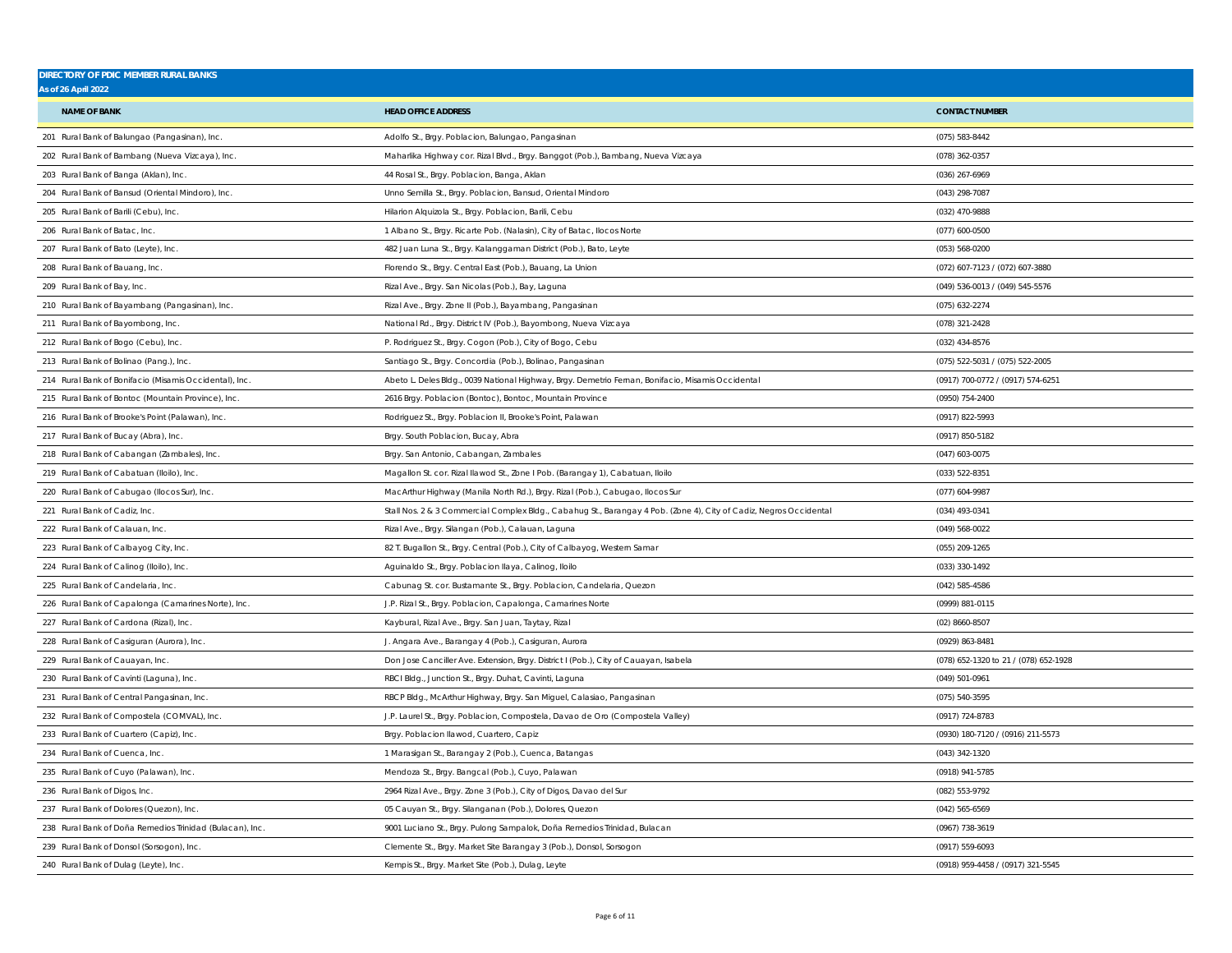| <b>DIRECTORY OF PDIC MEMBER RURAL BANKS</b><br>As of 26 April 2022 |                                                                                                                    |                                       |
|--------------------------------------------------------------------|--------------------------------------------------------------------------------------------------------------------|---------------------------------------|
|                                                                    |                                                                                                                    |                                       |
| <b>NAME OF BANK</b>                                                | <b>HEAD OFFICE ADDRESS</b>                                                                                         | <b>CONTACT NUMBER</b>                 |
| 201 Rural Bank of Balungao (Pangasinan), Inc.                      | Adolfo St., Brgy. Poblacion, Balungao, Pangasinan                                                                  | (075) 583-8442                        |
| 202 Rural Bank of Bambang (Nueva Vizcaya), Inc.                    | Maharlika Highway cor. Rizal Blvd., Brgy. Banggot (Pob.), Bambang, Nueva Vizcaya                                   | (078) 362-0357                        |
| 203 Rural Bank of Banga (Aklan), Inc.                              | 44 Rosal St., Brgy. Poblacion, Banga, Aklan                                                                        | (036) 267-6969                        |
| 204 Rural Bank of Bansud (Oriental Mindoro), Inc.                  | Unno Semilla St., Brgy. Poblacion, Bansud, Oriental Mindoro                                                        | (043) 298-7087                        |
| 205 Rural Bank of Barili (Cebu), Inc.                              | Hilarion Alquizola St., Brgy. Poblacion, Barili, Cebu                                                              | (032) 470-9888                        |
| 206 Rural Bank of Batac, Inc.                                      | 1 Albano St., Brgy. Ricarte Pob. (Nalasin), City of Batac, Ilocos Norte                                            | $(077) 600 - 0500$                    |
| 207 Rural Bank of Bato (Leyte), Inc.                               | 482 Juan Luna St., Brgy. Kalanggaman District (Pob.), Bato, Leyte                                                  | (053) 568-0200                        |
| 208 Rural Bank of Bauang, Inc.                                     | Florendo St., Brgy. Central East (Pob.), Bauang, La Union                                                          | (072) 607-7123 / (072) 607-3880       |
| 209 Rural Bank of Bay, Inc.                                        | Rizal Ave., Brgy. San Nicolas (Pob.), Bay, Laguna                                                                  | (049) 536-0013 / (049) 545-5576       |
| 210 Rural Bank of Bayambang (Pangasinan), Inc.                     | Rizal Ave., Brgy. Zone II (Pob.), Bayambang, Pangasinan                                                            | (075) 632-2274                        |
| 211 Rural Bank of Bayombong, Inc.                                  | National Rd., Brgy. District IV (Pob.), Bayombong, Nueva Vizcaya                                                   | (078) 321-2428                        |
| 212 Rural Bank of Bogo (Cebu), Inc.                                | P. Rodriguez St., Brgy. Cogon (Pob.), City of Bogo, Cebu                                                           | (032) 434-8576                        |
| 213 Rural Bank of Bolinao (Pang.), Inc.                            | Santiago St., Brgy. Concordia (Pob.), Bolinao, Pangasinan                                                          | (075) 522-5031 / (075) 522-2005       |
| 214 Rural Bank of Bonifacio (Misamis Occidental), Inc.             | Abeto L. Deles Bldg., 0039 National Highway, Brgy. Demetrio Fernan, Bonifacio, Misamis Occidental                  | (0917) 700-0772 / (0917) 574-6251     |
| 215 Rural Bank of Bontoc (Mountain Province), Inc.                 | 2616 Brgy. Poblacion (Bontoc), Bontoc, Mountain Province                                                           | (0950) 754-2400                       |
| 216 Rural Bank of Brooke's Point (Palawan), Inc.                   | Rodriguez St., Brgy. Poblacion II, Brooke's Point, Palawan                                                         | (0917) 822-5993                       |
| 217 Rural Bank of Bucay (Abra), Inc.                               | Brgy. South Poblacion, Bucay, Abra                                                                                 | (0917) 850-5182                       |
| 218 Rural Bank of Cabangan (Zambales), Inc.                        | Brgy. San Antonio, Cabangan, Zambales                                                                              | $(047)$ 603-0075                      |
| 219 Rural Bank of Cabatuan (Iloilo), Inc.                          | Magallon St. cor. Rizal llawod St., Zone I Pob. (Barangay 1), Cabatuan, Iloilo                                     | (033) 522-8351                        |
| 220 Rural Bank of Cabugao (Ilocos Sur), Inc.                       | MacArthur Highway (Manila North Rd.), Brgy. Rizal (Pob.), Cabugao, Ilocos Sur                                      | (077) 604-9987                        |
| 221 Rural Bank of Cadiz, Inc.                                      | Stall Nos. 2 & 3 Commercial Complex Bldg., Cabahug St., Barangay 4 Pob. (Zone 4), City of Cadiz, Negros Occidental | (034) 493-0341                        |
| 222 Rural Bank of Calauan, Inc.                                    | Rizal Ave., Brgy. Silangan (Pob.), Calauan, Laguna                                                                 | (049) 568-0022                        |
| 223 Rural Bank of Calbayog City, Inc.                              | 82 T. Bugallon St., Brgy. Central (Pob.), City of Calbayog, Western Samar                                          | (055) 209-1265                        |
| 224 Rural Bank of Calinog (Iloilo), Inc.                           | Aguinaldo St., Brgy. Poblacion Ilaya, Calinog, Iloilo                                                              | (033) 330-1492                        |
| 225 Rural Bank of Candelaria, Inc.                                 | Cabunag St. cor. Bustamante St., Brgy. Poblacion, Candelaria, Quezon                                               | $(042)$ 585-4586                      |
| 226 Rural Bank of Capalonga (Camarines Norte), Inc.                | J.P. Rizal St., Brgy. Poblacion, Capalonga, Camarines Norte                                                        | (0999) 881-0115                       |
| 227 Rural Bank of Cardona (Rizal), Inc.                            | Kaybural, Rizal Ave., Brgy. San Juan, Taytay, Rizal                                                                | (02) 8660-8507                        |
| 228 Rural Bank of Casiguran (Aurora), Inc.                         | J. Angara Ave., Barangay 4 (Pob.), Casiguran, Aurora                                                               | (0929) 863-8481                       |
| 229 Rural Bank of Cauayan, Inc.                                    | Don Jose Canciller Ave. Extension, Brgy. District I (Pob.), City of Cauayan, Isabela                               | (078) 652-1320 to 21 / (078) 652-1928 |
| 230 Rural Bank of Cavinti (Laguna), Inc.                           | RBCI Bldg., Junction St., Brgy. Duhat, Cavinti, Laguna                                                             | (049) 501-0961                        |
| 231 Rural Bank of Central Pangasinan, Inc.                         | RBCP Bldg., McArthur Highway, Brgy. San Miguel, Calasiao, Pangasinan                                               | (075) 540-3595                        |
| 232 Rural Bank of Compostela (COMVAL), Inc.                        | J.P. Laurel St., Brgy. Poblacion, Compostela, Davao de Oro (Compostela Valley)                                     | (0917) 724-8783                       |
| 233 Rural Bank of Cuartero (Capiz), Inc.                           | Brgy. Poblacion Ilawod, Cuartero, Capiz                                                                            | (0930) 180-7120 / (0916) 211-5573     |
| 234 Rural Bank of Cuenca, Inc.                                     | 1 Marasigan St., Barangay 2 (Pob.), Cuenca, Batangas                                                               | (043) 342-1320                        |
| 235 Rural Bank of Cuyo (Palawan), Inc.                             | Mendoza St., Brgy. Bangcal (Pob.), Cuyo, Palawan                                                                   | (0918) 941-5785                       |
| 236 Rural Bank of Digos, Inc.                                      | 2964 Rizal Ave., Brgy. Zone 3 (Pob.), City of Digos, Davao del Sur                                                 | (082) 553-9792                        |
| 237 Rural Bank of Dolores (Quezon), Inc.                           | 05 Cauyan St., Brgy. Silanganan (Pob.), Dolores, Quezon                                                            | (042) 565-6569                        |
| 238 Rural Bank of Doña Remedios Trinidad (Bulacan), Inc            | 9001 Luciano St., Brgy. Pulong Sampalok, Doña Remedios Trinidad, Bulacan                                           | (0967) 738-3619                       |
| 239 Rural Bank of Donsol (Sorsogon), Inc.                          | Clemente St., Brgy. Market Site Barangay 3 (Pob.), Donsol, Sorsogon                                                | (0917) 559-6093                       |
| 240 Rural Bank of Dulag (Leyte), Inc.                              | Kempis St., Brgy. Market Site (Pob.), Dulag, Leyte                                                                 | (0918) 959-4458 / (0917) 321-5545     |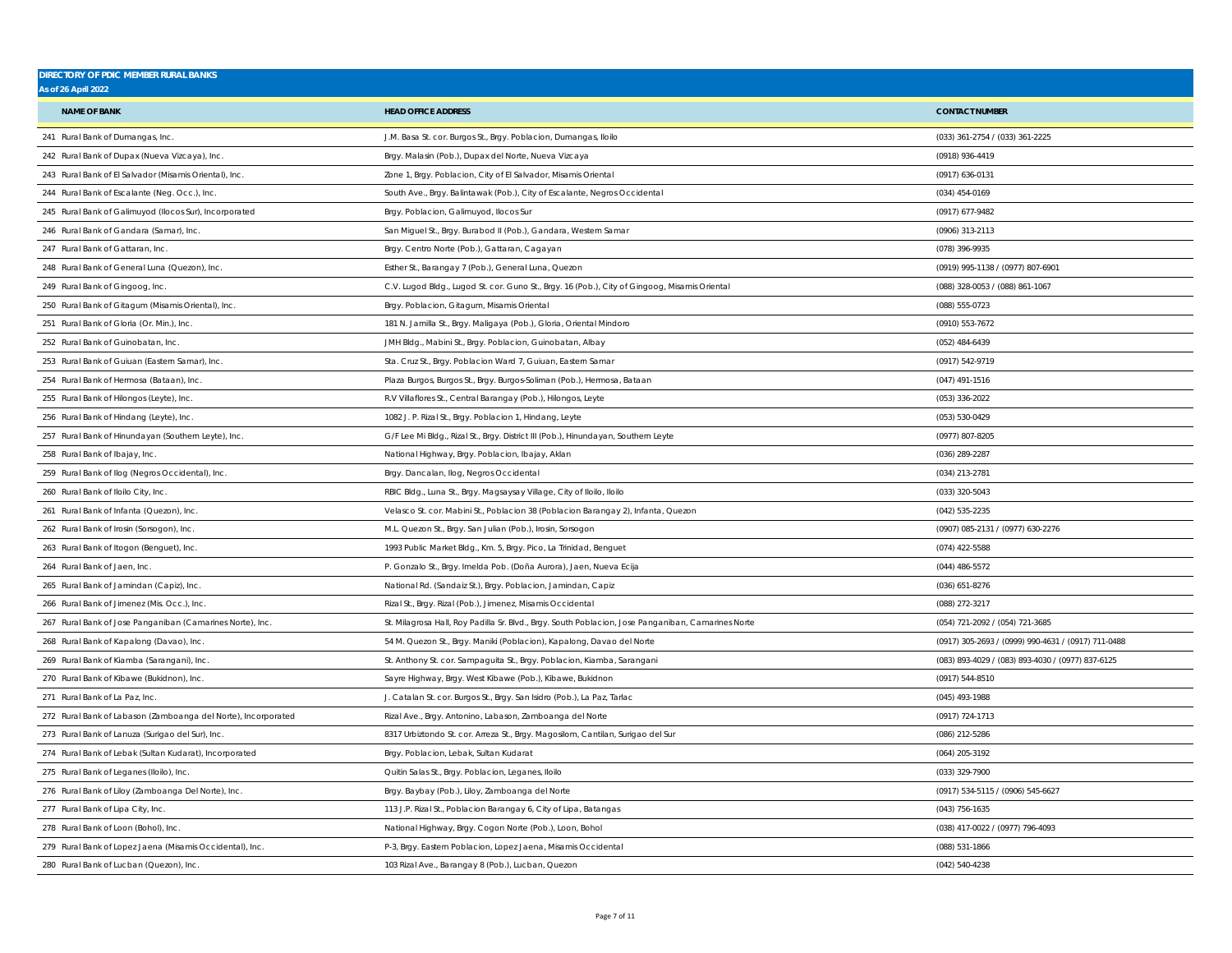| <b>DIRECTORY OF PDIC MEMBER RURAL BANKS</b><br><b>As of 26 April 2022</b> |                                                                                                    |                                                     |
|---------------------------------------------------------------------------|----------------------------------------------------------------------------------------------------|-----------------------------------------------------|
| <b>NAME OF BANK</b>                                                       | <b>HEAD OFFICE ADDRESS</b>                                                                         | <b>CONTACT NUMBER</b>                               |
| 241 Rural Bank of Dumangas, Inc.                                          | J.M. Basa St. cor. Burgos St., Brgy. Poblacion, Dumangas, Iloilo                                   | (033) 361-2754 / (033) 361-2225                     |
| 242 Rural Bank of Dupax (Nueva Vizcaya), Inc.                             | Brgy. Malasin (Pob.), Dupax del Norte, Nueva Vizcaya                                               | (0918) 936-4419                                     |
| 243 Rural Bank of El Salvador (Misamis Oriental), Inc.                    | Zone 1, Brgy. Poblacion, City of El Salvador, Misamis Oriental                                     | (0917) 636-0131                                     |
| 244 Rural Bank of Escalante (Neg. Occ.), Inc.                             | South Ave., Brgy. Balintawak (Pob.), City of Escalante, Negros Occidental                          | (034) 454-0169                                      |
| 245 Rural Bank of Galimuyod (Ilocos Sur), Incorporated                    | Brgy. Poblacion, Galimuyod, Ilocos Sur                                                             | (0917) 677-9482                                     |
| 246 Rural Bank of Gandara (Samar), Inc.                                   | San Miguel St., Brgy. Burabod II (Pob.), Gandara, Western Samar                                    | (0906) 313-2113                                     |
| 247 Rural Bank of Gattaran, Inc.                                          | Brgy. Centro Norte (Pob.), Gattaran, Cagayan                                                       | (078) 396-9935                                      |
| 248 Rural Bank of General Luna (Quezon), Inc.                             | Esther St., Barangay 7 (Pob.), General Luna, Quezon                                                | (0919) 995-1138 / (0977) 807-6901                   |
| 249 Rural Bank of Gingoog, Inc.                                           | C.V. Lugod Bldg., Lugod St. cor. Guno St., Brgy. 16 (Pob.), City of Gingoog, Misamis Oriental      | (088) 328-0053 / (088) 861-1067                     |
|                                                                           |                                                                                                    |                                                     |
| 250 Rural Bank of Gitagum (Misamis Oriental), Inc.                        | Brgy. Poblacion, Gitagum, Misamis Oriental                                                         | (088) 555-0723                                      |
| 251 Rural Bank of Gloria (Or. Min.), Inc.                                 | 181 N. Jamilla St., Brgy. Maligaya (Pob.), Gloria, Oriental Mindoro                                | (0910) 553-7672                                     |
| 252 Rural Bank of Guinobatan, Inc.                                        | JMH Bldg., Mabini St., Brgy. Poblacion, Guinobatan, Albay                                          | (052) 484-6439                                      |
| 253 Rural Bank of Guiuan (Eastern Samar), Inc.                            | Sta. Cruz St., Brgy. Poblacion Ward 7, Guiuan, Eastern Samar                                       | (0917) 542-9719                                     |
| 254 Rural Bank of Hermosa (Bataan), Inc.                                  | Plaza Burgos, Burgos St., Brgy. Burgos-Soliman (Pob.), Hermosa, Bataan                             | $(047)$ 491-1516                                    |
| 255 Rural Bank of Hilongos (Leyte), Inc.                                  | R.V Villaflores St., Central Barangay (Pob.), Hilongos, Leyte                                      | $(053)$ 336-2022                                    |
| 256 Rural Bank of Hindang (Leyte), Inc.                                   | 1082 J. P. Rizal St., Brgy. Poblacion 1, Hindang, Leyte                                            | (053) 530-0429                                      |
| 257 Rural Bank of Hinundayan (Southern Leyte), Inc.                       | G/F Lee Mi Bldg., Rizal St., Brgy. District III (Pob.), Hinundayan, Southern Leyte                 | (0977) 807-8205                                     |
| 258 Rural Bank of Ibajay, Inc.                                            | National Highway, Brgy. Poblacion, Ibajay, Aklan                                                   | (036) 289-2287                                      |
| 259 Rural Bank of Ilog (Negros Occidental), Inc.                          | Brgy. Dancalan, Ilog, Negros Occidental                                                            | (034) 213-2781                                      |
| 260 Rural Bank of Iloilo City, Inc.                                       | RBIC Bldg., Luna St., Brgy. Magsaysay Village, City of Iloilo, Iloilo                              | (033) 320-5043                                      |
| 261 Rural Bank of Infanta (Quezon), Inc.                                  | Velasco St. cor. Mabini St., Poblacion 38 (Poblacion Barangay 2), Infanta, Quezon                  | (042) 535-2235                                      |
| 262 Rural Bank of Irosin (Sorsogon), Inc.                                 | M.L. Quezon St., Brgy. San Julian (Pob.), Irosin, Sorsogon                                         | (0907) 085-2131 / (0977) 630-2276                   |
| 263 Rural Bank of Itogon (Benguet), Inc.                                  | 1993 Public Market Bldg., Km. 5, Brgy. Pico, La Trinidad, Benguet                                  | (074) 422-5588                                      |
| 264 Rural Bank of Jaen, Inc.                                              | P. Gonzalo St., Brgy. Imelda Pob. (Doña Aurora), Jaen, Nueva Ecija                                 | $(044)$ 486-5572                                    |
| 265 Rural Bank of Jamindan (Capiz), Inc.                                  | National Rd. (Sandaiz St.), Brgy. Poblacion, Jamindan, Capiz                                       | (036) 651-8276                                      |
| 266 Rural Bank of Jimenez (Mis. Occ.), Inc.                               | Rizal St., Brgy. Rizal (Pob.), Jimenez, Misamis Occidental                                         | (088) 272-3217                                      |
| 267 Rural Bank of Jose Panganiban (Camarines Norte), Inc.                 | St. Milagrosa Hall, Roy Padilla Sr. Blvd., Brgy. South Poblacion, Jose Panganiban, Camarines Norte | (054) 721-2092 / (054) 721-3685                     |
| 268 Rural Bank of Kapalong (Davao), Inc.                                  | 54 M. Quezon St., Brgy. Maniki (Poblacion), Kapalong, Davao del Norte                              | (0917) 305-2693 / (0999) 990-4631 / (0917) 711-0488 |
| 269 Rural Bank of Kiamba (Sarangani), Inc.                                | St. Anthony St. cor. Sampaguita St., Brgy. Poblacion, Kiamba, Sarangani                            | (083) 893-4029 / (083) 893-4030 / (0977) 837-6125   |
| 270 Rural Bank of Kibawe (Bukidnon), Inc.                                 | Sayre Highway, Brgy. West Kibawe (Pob.), Kibawe, Bukidnon                                          | (0917) 544-8510                                     |
| 271 Rural Bank of La Paz. Inc.                                            | J. Catalan St. cor. Burgos St., Brgy. San Isidro (Pob.), La Paz, Tarlac                            | (045) 493-1988                                      |
| 272 Rural Bank of Labason (Zamboanga del Norte), Incorporated             | Rizal Ave., Brgy. Antonino, Labason, Zamboanga del Norte                                           | (0917) 724-1713                                     |
| 273 Rural Bank of Lanuza (Surigao del Sur), Inc.                          | 8317 Urbiztondo St. cor. Arreza St., Brgy. Magosilom, Cantilan, Surigao del Sur                    | (086) 212-5286                                      |
| 274 Rural Bank of Lebak (Sultan Kudarat), Incorporated                    | Brgy. Poblacion, Lebak, Sultan Kudarat                                                             | (064) 205-3192                                      |
| 275 Rural Bank of Leganes (Iloilo), Inc.                                  | Quitin Salas St., Brgy. Poblacion, Leganes, Iloilo                                                 | (033) 329-7900                                      |
| 276 Rural Bank of Liloy (Zamboanga Del Norte), Inc.                       | Brgy. Baybay (Pob.), Liloy, Zamboanga del Norte                                                    | (0917) 534-5115 / (0906) 545-6627                   |
| 277 Rural Bank of Lipa City, Inc.                                         | 113 J.P. Rizal St., Poblacion Barangay 6, City of Lipa, Batangas                                   | $(043)$ 756-1635                                    |
| 278 Rural Bank of Loon (Bohol), Inc.                                      | National Highway, Brgy. Cogon Norte (Pob.), Loon, Bohol                                            | (038) 417-0022 / (0977) 796-4093                    |
| 279 Rural Bank of Lopez Jaena (Misamis Occidental), Inc.                  | P-3, Brgy. Eastern Poblacion, Lopez Jaena, Misamis Occidental                                      | (088) 531-1866                                      |
| 280 Rural Bank of Lucban (Quezon), Inc                                    | 103 Rizal Ave., Barangay 8 (Pob.), Lucban, Quezon                                                  | (042) 540-4238                                      |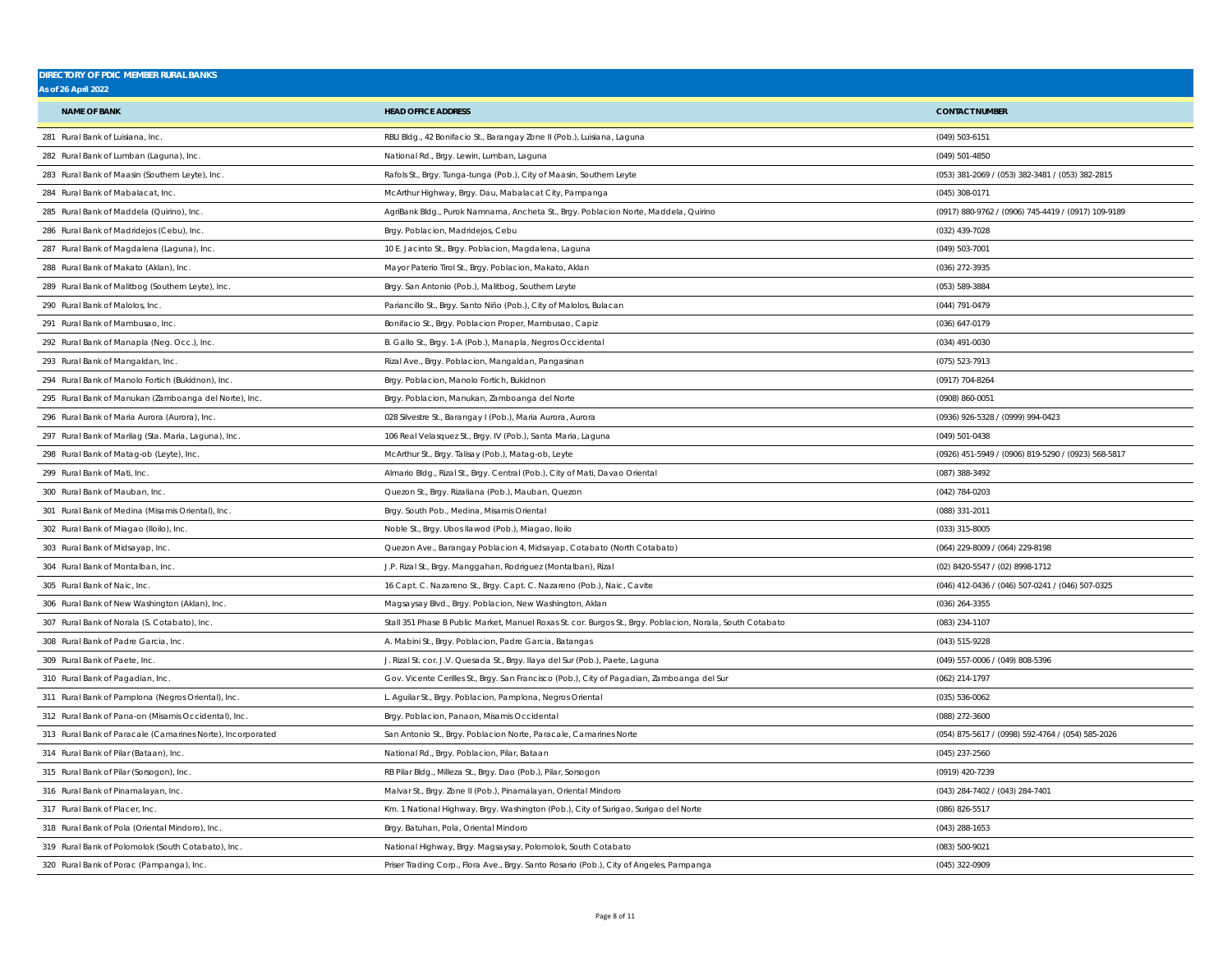| <b>DIRECTORY OF PDIC MEMBER RURAL BANKS</b><br><b>As of 26 April 2022</b> |                                                                                                            |                                                     |
|---------------------------------------------------------------------------|------------------------------------------------------------------------------------------------------------|-----------------------------------------------------|
|                                                                           |                                                                                                            |                                                     |
| <b>NAME OF BANK</b>                                                       | <b>HEAD OFFICE ADDRESS</b>                                                                                 | <b>CONTACT NUMBER</b>                               |
| 281 Rural Bank of Luisiana, Inc.                                          | RBLI Bldg., 42 Bonifacio St., Barangay Zone II (Pob.), Luisiana, Laguna                                    | (049) 503-6151                                      |
| 282 Rural Bank of Lumban (Laguna), Inc.                                   | National Rd., Brgy. Lewin, Lumban, Laguna                                                                  | (049) 501-4850                                      |
| 283 Rural Bank of Maasin (Southern Leyte), Inc                            | Rafols St., Brgy. Tunga-tunga (Pob.), City of Maasin, Southern Leyte                                       | (053) 381-2069 / (053) 382-3481 / (053) 382-2815    |
| 284 Rural Bank of Mabalacat, Inc.                                         | McArthur Highway, Brgy. Dau, Mabalacat City, Pampanga                                                      | (045) 308-0171                                      |
| 285 Rural Bank of Maddela (Quirino), Inc.                                 | AgriBank Bldg., Purok Namnama, Ancheta St., Brgy. Poblacion Norte, Maddela, Quirino                        | (0917) 880-9762 / (0906) 745-4419 / (0917) 109-9189 |
| 286 Rural Bank of Madridejos (Cebu), Inc.                                 | Brgy. Poblacion, Madridejos, Cebu                                                                          | (032) 439-7028                                      |
| 287 Rural Bank of Magdalena (Laguna), Inc.                                | 10 E. Jacinto St., Brgy. Poblacion, Magdalena, Laguna                                                      | (049) 503-7001                                      |
| 288 Rural Bank of Makato (Aklan), Inc.                                    | Mayor Paterio Tirol St., Brgy. Poblacion, Makato, Aklan                                                    | (036) 272-3935                                      |
| 289 Rural Bank of Malitbog (Southern Leyte), Inc.                         | Brgy. San Antonio (Pob.), Malitbog, Southern Leyte                                                         | (053) 589-3884                                      |
| 290 Rural Bank of Malolos, Inc.                                           | Pariancillo St., Brgy. Santo Niño (Pob.), City of Malolos, Bulacan                                         | (044) 791-0479                                      |
| 291 Rural Bank of Mambusao, Inc.                                          | Bonifacio St., Brgy. Poblacion Proper, Mambusao, Capiz                                                     | (036) 647-0179                                      |
| 292 Rural Bank of Manapla (Neg. Occ.), Inc.                               | B. Gallo St., Brgy. 1-A (Pob.), Manapla, Negros Occidental                                                 | (034) 491-0030                                      |
| 293 Rural Bank of Mangaldan, Inc.                                         | Rizal Ave., Brgy. Poblacion, Mangaldan, Pangasinan                                                         | (075) 523-7913                                      |
| 294 Rural Bank of Manolo Fortich (Bukidnon), Inc.                         | Brgy. Poblacion, Manolo Fortich, Bukidnon                                                                  | (0917) 704-8264                                     |
| 295 Rural Bank of Manukan (Zamboanga del Norte), Inc.                     | Brgy. Poblacion, Manukan, Zamboanga del Norte                                                              | (0908) 860-0051                                     |
| 296 Rural Bank of Maria Aurora (Aurora), Inc.                             | 028 Silvestre St., Barangay I (Pob.), Maria Aurora, Aurora                                                 | (0936) 926-5328 / (0999) 994-0423                   |
| 297 Rural Bank of Marilag (Sta. Maria, Laguna), Inc.                      | 106 Real Velasquez St., Brgy. IV (Pob.), Santa Maria, Laguna                                               | (049) 501-0438                                      |
| 298 Rural Bank of Matag-ob (Leyte), Inc.                                  | McArthur St., Brgy. Talisay (Pob.), Matag-ob, Leyte                                                        | (0926) 451-5949 / (0906) 819-5290 / (0923) 568-5817 |
| 299 Rural Bank of Mati, Inc.                                              | Almario Bldg., Rizal St., Brgy. Central (Pob.), City of Mati, Davao Oriental                               | (087) 388-3492                                      |
| 300 Rural Bank of Mauban, Inc.                                            | Quezon St., Brgy. Rizaliana (Pob.), Mauban, Quezon                                                         | (042) 784-0203                                      |
| 301 Rural Bank of Medina (Misamis Oriental), Inc.                         | Brgy. South Pob., Medina, Misamis Oriental                                                                 | (088) 331-2011                                      |
| 302 Rural Bank of Miagao (Iloilo), Inc.                                   | Noble St., Brgy. Ubos llawod (Pob.), Miagao, Iloilo                                                        | (033) 315-8005                                      |
| 303 Rural Bank of Midsayap, Inc.                                          | Quezon Ave., Barangay Poblacion 4, Midsayap, Cotabato (North Cotabato)                                     | (064) 229-8009 / (064) 229-8198                     |
| 304 Rural Bank of Montalban, Inc.                                         | J.P. Rizal St., Brgy. Manggahan, Rodriguez (Montalban), Rizal                                              | (02) 8420-5547 / (02) 8998-1712                     |
| 305 Rural Bank of Naic, Inc.                                              | 16 Capt. C. Nazareno St., Brgy. Capt. C. Nazareno (Pob.), Naic, Cavite                                     | (046) 412-0436 / (046) 507-0241 / (046) 507-0325    |
| 306 Rural Bank of New Washington (Aklan), Inc.                            | Magsaysay Blvd., Brgy. Poblacion, New Washington, Aklan                                                    | $(036)$ 264-3355                                    |
| 307 Rural Bank of Norala (S. Cotabato), Inc.                              | Stall 351 Phase B Public Market, Manuel Roxas St. cor. Burgos St., Brgy. Poblacion, Norala, South Cotabato | (083) 234-1107                                      |
| 308 Rural Bank of Padre Garcia, Inc.                                      | A. Mabini St., Brgy. Poblacion, Padre Garcia, Batangas                                                     | (043) 515-9228                                      |
| 309 Rural Bank of Paete, Inc.                                             | J. Rizal St. cor. J.V. Quesada St., Brgy. Ilaya del Sur (Pob.), Paete, Laguna                              | (049) 557-0006 / (049) 808-5396                     |
| 310 Rural Bank of Pagadian, Inc.                                          | Gov. Vicente Cerilles St., Brgy. San Francisco (Pob.), City of Pagadian, Zamboanga del Sur                 | (062) 214-1797                                      |
| 311 Rural Bank of Pamplona (Negros Oriental), Inc.                        | L. Aguilar St., Brgy. Poblacion, Pamplona, Negros Oriental                                                 | (035) 536-0062                                      |
| 312 Rural Bank of Pana-on (Misamis Occidental), Inc.                      | Brgy. Poblacion, Panaon, Misamis Occidental                                                                | (088) 272-3600                                      |
| 313 Rural Bank of Paracale (Camarines Norte), Incorporated                | San Antonio St., Brgy. Poblacion Norte, Paracale, Camarines Norte                                          | (054) 875-5617 / (0998) 592-4764 / (054) 585-2026   |
| 314 Rural Bank of Pilar (Bataan), Inc.                                    | National Rd., Brgy. Poblacion, Pilar, Bataan                                                               | $(045)$ 237-2560                                    |
| 315 Rural Bank of Pilar (Sorsogon), Inc.                                  | RB Pilar Bldg., Milleza St., Brgy. Dao (Pob.), Pilar, Sorsogon                                             | (0919) 420-7239                                     |
| 316 Rural Bank of Pinamalayan, Inc.                                       | Malvar St., Brgy. Zone II (Pob.), Pinamalayan, Oriental Mindoro                                            | (043) 284-7402 / (043) 284-7401                     |
| 317 Rural Bank of Placer, Inc.                                            | Km. 1 National Highway, Brgy. Washington (Pob.), City of Surigao, Surigao del Norte                        | (086) 826-5517                                      |
| 318 Rural Bank of Pola (Oriental Mindoro), Inc.                           | Brgy. Batuhan, Pola, Oriental Mindoro                                                                      | $(043)$ 288-1653                                    |
| 319 Rural Bank of Polomolok (South Cotabato), Inc.                        | National Highway, Brgy. Magsaysay, Polomolok, South Cotabato                                               | (083) 500-9021                                      |
| 320 Rural Bank of Porac (Pampanga), Inc.                                  | Priser Trading Corp., Flora Ave., Brgy. Santo Rosario (Pob.), City of Angeles, Pampanga                    | (045) 322-0909                                      |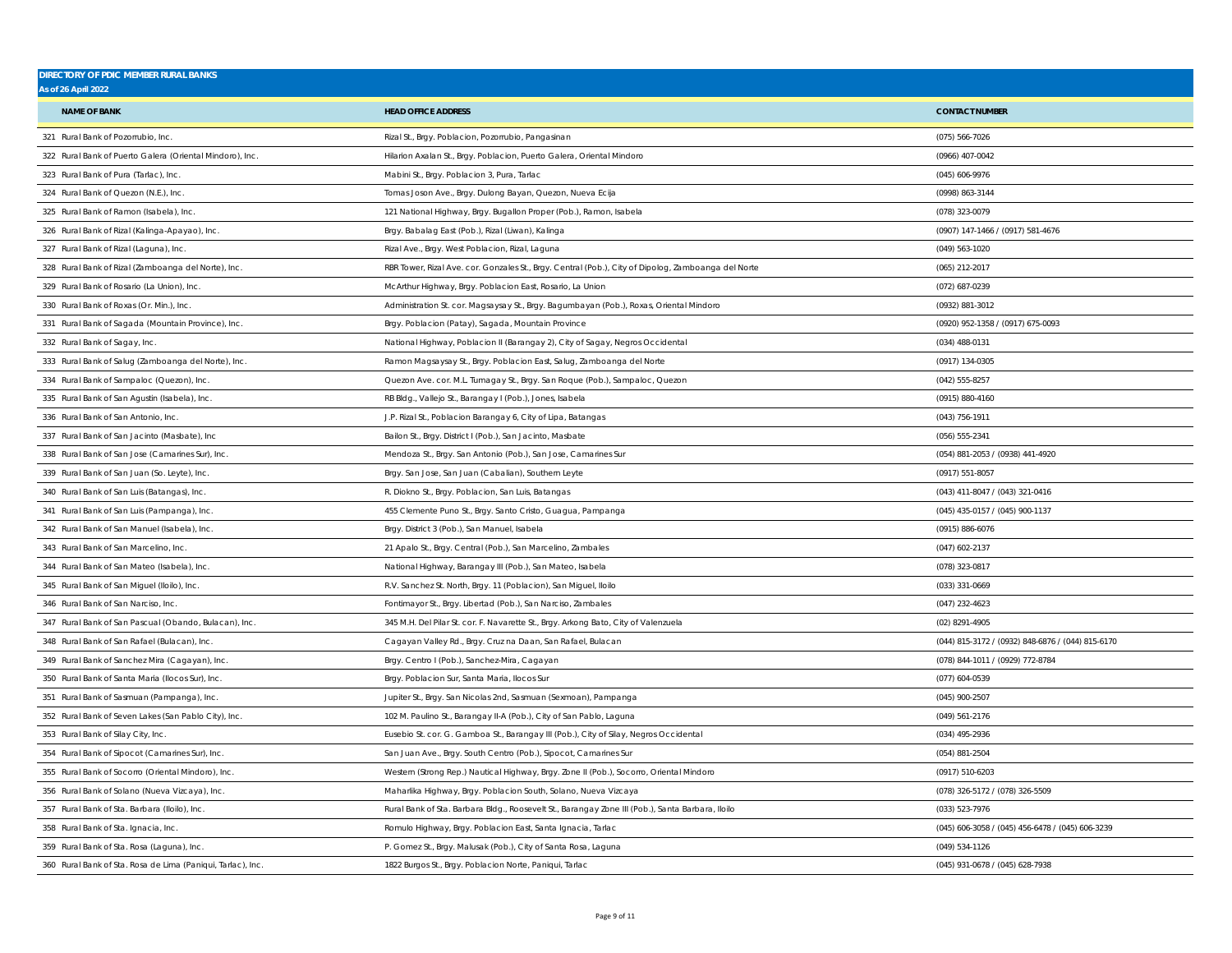| <b>DIRECTORY OF PDIC MEMBER RURAL BANKS</b><br><b>As of 26 April 2022</b> |                                                                                                     |                                                   |
|---------------------------------------------------------------------------|-----------------------------------------------------------------------------------------------------|---------------------------------------------------|
| <b>NAME OF BANK</b>                                                       | <b>HEAD OFFICE ADDRESS</b>                                                                          | <b>CONTACT NUMBER</b>                             |
| 321 Rural Bank of Pozorrubio, Inc.                                        | Rizal St., Brgy. Poblacion, Pozorrubio, Pangasinan                                                  | $(075) 566 - 7026$                                |
| 322 Rural Bank of Puerto Galera (Oriental Mindoro), Inc.                  | Hilarion Axalan St., Brgy. Poblacion, Puerto Galera, Oriental Mindoro                               | (0966) 407-0042                                   |
| 323 Rural Bank of Pura (Tarlac), Inc.                                     | Mabini St., Brgy. Poblacion 3, Pura, Tarlac                                                         | (045) 606-9976                                    |
| 324 Rural Bank of Quezon (N.E.), Inc.                                     | Tomas Joson Ave., Brgy. Dulong Bayan, Quezon, Nueva Ecija                                           | (0998) 863-3144                                   |
| 325 Rural Bank of Ramon (Isabela), Inc.                                   | 121 National Highway, Brgy. Bugallon Proper (Pob.), Ramon, Isabela                                  | (078) 323-0079                                    |
| 326 Rural Bank of Rizal (Kalinga-Apayao), Inc.                            | Brgy. Babalag East (Pob.), Rizal (Liwan), Kalinga                                                   | (0907) 147-1466 / (0917) 581-4676                 |
| 327 Rural Bank of Rizal (Laguna), Inc.                                    | Rizal Ave., Brgy. West Poblacion, Rizal, Laguna                                                     | (049) 563-1020                                    |
| 328 Rural Bank of Rizal (Zamboanga del Norte), Inc.                       | RBR Tower, Rizal Ave. cor. Gonzales St., Brgy. Central (Pob.), City of Dipolog, Zamboanga del Norte | (065) 212-2017                                    |
| 329 Rural Bank of Rosario (La Union), Inc.                                | McArthur Highway, Brgy. Poblacion East, Rosario, La Union                                           | (072) 687-0239                                    |
| 330 Rural Bank of Roxas (Or. Min.), Inc.                                  | Administration St. cor. Magsaysay St., Brgy. Bagumbayan (Pob.), Roxas, Oriental Mindoro             | (0932) 881-3012                                   |
| 331 Rural Bank of Sagada (Mountain Province), Inc.                        | Brgy. Poblacion (Patay), Sagada, Mountain Province                                                  | (0920) 952-1358 / (0917) 675-0093                 |
| 332 Rural Bank of Sagay, Inc.                                             | National Highway, Poblacion II (Barangay 2), City of Sagay, Negros Occidental                       | (034) 488-0131                                    |
| 333 Rural Bank of Salug (Zamboanga del Norte), Inc.                       | Ramon Magsaysay St., Brgy. Poblacion East, Salug, Zamboanga del Norte                               | (0917) 134-0305                                   |
| 334 Rural Bank of Sampaloc (Quezon), Inc.                                 | Quezon Ave. cor. M.L. Tumagay St., Brgy. San Roque (Pob.), Sampaloc, Quezon                         | (042) 555-8257                                    |
| 335 Rural Bank of San Agustin (Isabela), Inc.                             | RB Bldg., Vallejo St., Barangay I (Pob.), Jones, Isabela                                            | (0915) 880-4160                                   |
| 336 Rural Bank of San Antonio, Inc.                                       | J.P. Rizal St., Poblacion Barangay 6, City of Lipa, Batangas                                        | (043) 756-1911                                    |
| 337 Rural Bank of San Jacinto (Masbate), Inc.                             | Bailon St., Brgy. District I (Pob.), San Jacinto, Masbate                                           | (056) 555-2341                                    |
| 338 Rural Bank of San Jose (Camarines Sur), Inc.                          | Mendoza St., Brgy. San Antonio (Pob.), San Jose, Camarines Sur                                      | (054) 881-2053 / (0938) 441-4920                  |
| 339 Rural Bank of San Juan (So. Leyte), Inc.                              | Brgy. San Jose, San Juan (Cabalian), Southern Leyte                                                 | (0917) 551-8057                                   |
| 340 Rural Bank of San Luis (Batangas), Inc.                               | R. Diokno St., Brgy. Poblacion, San Luis, Batangas                                                  | (043) 411-8047 / (043) 321-0416                   |
| 341 Rural Bank of San Luis (Pampanga), Inc.                               | 455 Clemente Puno St., Brgy. Santo Cristo, Guagua, Pampanga                                         | (045) 435-0157 / (045) 900-1137                   |
| 342 Rural Bank of San Manuel (Isabela), Inc.                              | Brgy. District 3 (Pob.), San Manuel, Isabela                                                        | (0915) 886-6076                                   |
| 343 Rural Bank of San Marcelino, Inc.                                     | 21 Apalo St., Brgy. Central (Pob.), San Marcelino, Zambales                                         | $(047)$ 602-2137                                  |
| 344 Rural Bank of San Mateo (Isabela), Inc.                               | National Highway, Barangay III (Pob.), San Mateo, Isabela                                           | (078) 323-0817                                    |
| 345 Rural Bank of San Miguel (Iloilo), Inc.                               | R.V. Sanchez St. North, Brgy. 11 (Poblacion), San Miguel, Iloilo                                    | (033) 331-0669                                    |
| 346 Rural Bank of San Narciso, Inc.                                       | Fontimayor St., Brgy. Libertad (Pob.), San Narciso, Zambales                                        | (047) 232-4623                                    |
| 347 Rural Bank of San Pascual (Obando, Bulacan), Inc                      | 345 M.H. Del Pilar St. cor. F. Navarette St., Brgy. Arkong Bato, City of Valenzuela                 | (02) 8291-4905                                    |
| 348 Rural Bank of San Rafael (Bulacan), Inc.                              | Cagayan Valley Rd., Brgy. Cruz na Daan, San Rafael, Bulacan                                         | (044) 815-3172 / (0932) 848-6876 / (044) 815-6170 |
| 349 Rural Bank of Sanchez Mira (Cagayan), Inc.                            | Brgy. Centro I (Pob.), Sanchez-Mira, Cagayan                                                        | (078) 844-1011 / (0929) 772-8784                  |
| 350 Rural Bank of Santa Maria (Ilocos Sur), Inc.                          | Brgy. Poblacion Sur, Santa Maria, Ilocos Sur                                                        | (077) 604-0539                                    |
| 351 Rural Bank of Sasmuan (Pampanga), Inc.                                | Jupiter St., Brgy. San Nicolas 2nd, Sasmuan (Sexmoan), Pampanga                                     | (045) 900-2507                                    |
| 352 Rural Bank of Seven Lakes (San Pablo City), Inc.                      | 102 M. Paulino St., Barangay II-A (Pob.), City of San Pablo, Laguna                                 | (049) 561-2176                                    |
| 353 Rural Bank of Silay City, Inc.                                        | Eusebio St. cor. G. Gamboa St., Barangay III (Pob.), City of Silay, Negros Occidental               | (034) 495-2936                                    |
| 354 Rural Bank of Sipocot (Camarines Sur), Inc.                           | San Juan Ave., Brgy. South Centro (Pob.), Sipocot, Camarines Sur                                    | (054) 881-2504                                    |
| 355 Rural Bank of Socorro (Oriental Mindoro), Inc.                        | Western (Strong Rep.) Nautical Highway, Brgy. Zone II (Pob.), Socorro, Oriental Mindoro             | (0917) 510-6203                                   |
| 356 Rural Bank of Solano (Nueva Vizcaya), Inc.                            | Maharlika Highway, Brgy. Poblacion South, Solano, Nueva Vizcaya                                     | (078) 326-5172 / (078) 326-5509                   |
| 357 Rural Bank of Sta. Barbara (Iloilo), Inc.                             | Rural Bank of Sta. Barbara Bldg., Roosevelt St., Barangay Zone III (Pob.), Santa Barbara, Iloilo    | (033) 523-7976                                    |
| 358 Rural Bank of Sta. Ignacia, Inc.                                      | Romulo Highway, Brgy. Poblacion East, Santa Ignacia, Tarlac                                         | (045) 606-3058 / (045) 456-6478 / (045) 606-3239  |
| 359 Rural Bank of Sta. Rosa (Laguna), Inc.                                | P. Gomez St., Brgy. Malusak (Pob.), City of Santa Rosa, Laguna                                      | (049) 534-1126                                    |
| 360 Rural Bank of Sta. Rosa de Lima (Paniqui, Tarlac), Inc.               | 1822 Burgos St., Brgy. Poblacion Norte, Paniqui, Tarlac                                             | (045) 931-0678 / (045) 628-7938                   |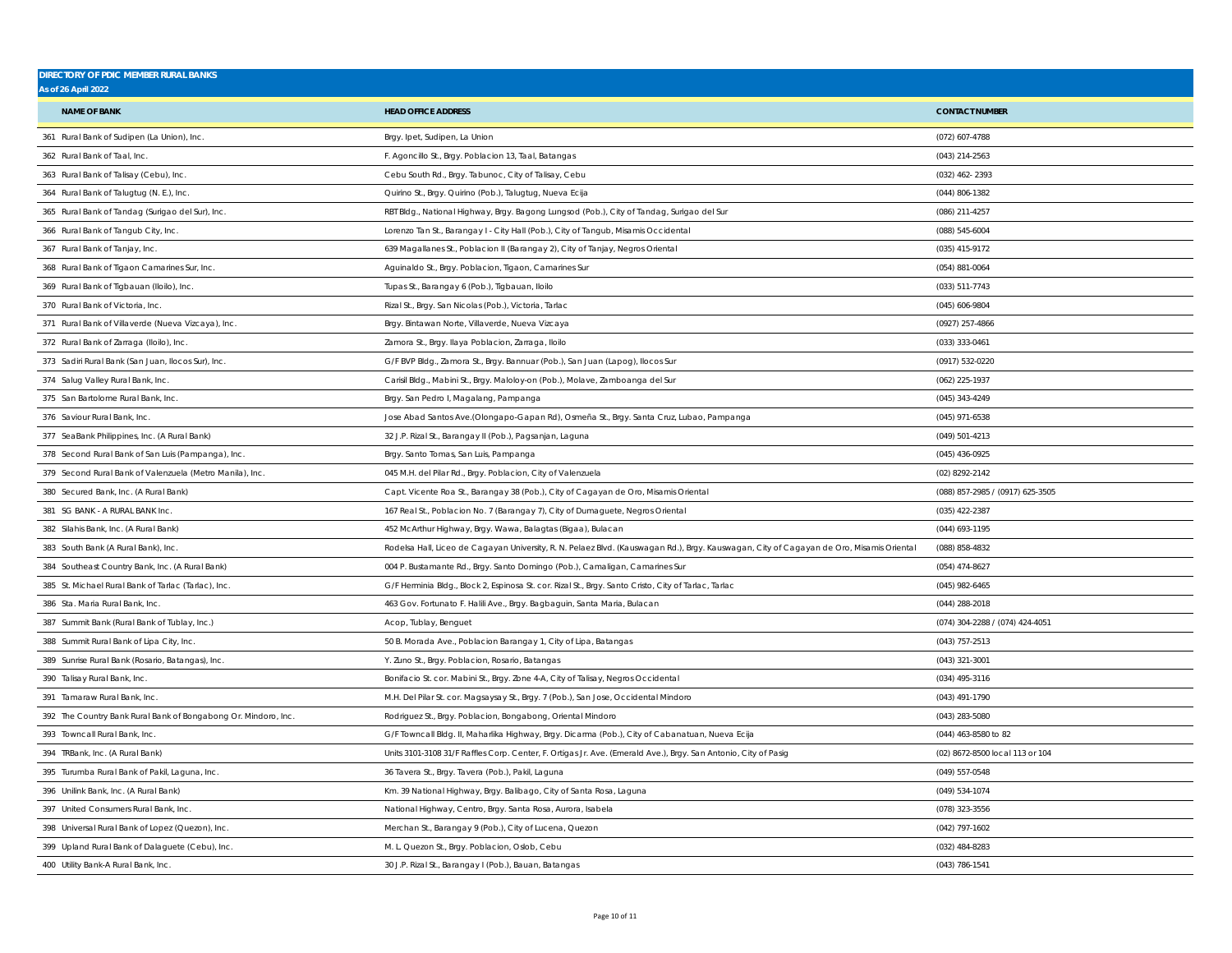| <b>DIRECTORY OF PDIC MEMBER RURAL BANKS</b><br><b>As of 26 April 2022</b> |                                                                                                                                          |                                  |
|---------------------------------------------------------------------------|------------------------------------------------------------------------------------------------------------------------------------------|----------------------------------|
| <b>NAME OF BANK</b>                                                       | <b>HEAD OFFICE ADDRESS</b>                                                                                                               | <b>CONTACT NUMBER</b>            |
| 361 Rural Bank of Sudipen (La Union), Inc.                                | Brgy. Ipet, Sudipen, La Union                                                                                                            | (072) 607-4788                   |
| 362 Rural Bank of Taal, Inc.                                              | F. Agoncillo St., Brgy. Poblacion 13, Taal, Batangas                                                                                     | (043) 214-2563                   |
| 363 Rural Bank of Talisay (Cebu), Inc.                                    | Cebu South Rd., Brgy. Tabunoc, City of Talisay, Cebu                                                                                     | (032) 462-2393                   |
| 364 Rural Bank of Talugtug (N. E.), Inc.                                  | Quirino St., Brgy. Quirino (Pob.), Talugtug, Nueva Ecija                                                                                 | $(044) 806 - 1382$               |
| 365 Rural Bank of Tandag (Surigao del Sur), Inc.                          | RBT Bldg., National Highway, Brgy. Bagong Lungsod (Pob.), City of Tandag, Surigao del Sur                                                | (086) 211-4257                   |
| 366 Rural Bank of Tangub City, Inc.                                       | Lorenzo Tan St., Barangay I - City Hall (Pob.), City of Tangub, Misamis Occidental                                                       | (088) 545-6004                   |
| 367 Rural Bank of Tanjay, Inc.                                            | 639 Magallanes St., Poblacion II (Barangay 2), City of Tanjay, Negros Oriental                                                           | (035) 415-9172                   |
| 368 Rural Bank of Tigaon Camarines Sur, Inc.                              | Aguinaldo St., Brgy. Poblacion, Tigaon, Camarines Sur                                                                                    | $(054) 881 - 0064$               |
| 369 Rural Bank of Tigbauan (Iloilo), Inc.                                 | Tupas St., Barangay 6 (Pob.), Tigbauan, Iloilo                                                                                           | (033) 511-7743                   |
| 370 Rural Bank of Victoria, Inc.                                          | Rizal St., Brgy. San Nicolas (Pob.), Victoria, Tarlac                                                                                    | $(045)$ 606-9804                 |
| 371 Rural Bank of Villaverde (Nueva Vizcaya), Inc.                        | Brgy. Bintawan Norte, Villaverde, Nueva Vizcaya                                                                                          | (0927) 257-4866                  |
| 372 Rural Bank of Zarraga (Iloilo), Inc.                                  | Zamora St., Brgy. Ilaya Poblacion, Zarraga, Iloilo                                                                                       | (033) 333-0461                   |
| 373 Sadiri Rural Bank (San Juan, Ilocos Sur), Inc.                        | G/F BVP Bldg., Zamora St., Brgy. Bannuar (Pob.), San Juan (Lapog), Ilocos Sur                                                            | (0917) 532-0220                  |
| 374 Salug Valley Rural Bank, Inc.                                         | Carisil Bldg., Mabini St., Brgy. Maloloy-on (Pob.), Molave, Zamboanga del Sur                                                            | (062) 225-1937                   |
| 375 San Bartolome Rural Bank, Inc.                                        | Brgy. San Pedro I, Magalang, Pampanga                                                                                                    | (045) 343-4249                   |
| 376 Saviour Rural Bank, Inc.                                              | Jose Abad Santos Ave.(Olongapo-Gapan Rd), Osmeña St., Brgy. Santa Cruz, Lubao, Pampanga                                                  | (045) 971-6538                   |
| 377 SeaBank Philippines, Inc. (A Rural Bank)                              | 32 J.P. Rizal St., Barangay II (Pob.), Pagsanjan, Laguna                                                                                 | (049) 501-4213                   |
| 378 Second Rural Bank of San Luis (Pampanga), Inc.                        | Brgy. Santo Tomas, San Luis, Pampanga                                                                                                    | (045) 436-0925                   |
| 379 Second Rural Bank of Valenzuela (Metro Manila), Inc.                  | 045 M.H. del Pilar Rd., Brgy. Poblacion, City of Valenzuela                                                                              | (02) 8292-2142                   |
| 380 Secured Bank, Inc. (A Rural Bank)                                     | Capt. Vicente Roa St., Barangay 38 (Pob.), City of Cagayan de Oro, Misamis Oriental                                                      | (088) 857-2985 / (0917) 625-3505 |
| 381 SG BANK - A RURAL BANK Inc.                                           | 167 Real St., Poblacion No. 7 (Barangay 7), City of Dumaguete, Negros Oriental                                                           | (035) 422-2387                   |
| 382 Silahis Bank, Inc. (A Rural Bank)                                     | 452 McArthur Highway, Brgy. Wawa, Balagtas (Bigaa), Bulacan                                                                              | (044) 693-1195                   |
| 383 South Bank (A Rural Bank), Inc.                                       | Rodelsa Hall, Liceo de Cagayan University, R. N. Pelaez Blvd. (Kauswagan Rd.), Brgy. Kauswagan, City of Cagayan de Oro, Misamis Oriental | (088) 858-4832                   |
| 384 Southeast Country Bank, Inc. (A Rural Bank)                           | 004 P. Bustamante Rd., Brgy. Santo Domingo (Pob.), Camaligan, Camarines Sur                                                              | $(054)$ 474-8627                 |
| 385 St. Michael Rural Bank of Tarlac (Tarlac), Inc.                       | G/F Herminia Bldg., Block 2, Espinosa St. cor. Rizal St., Brgy. Santo Cristo, City of Tarlac, Tarlac                                     | $(045)$ 982-6465                 |
| 386 Sta. Maria Rural Bank, Inc.                                           | 463 Gov. Fortunato F. Halili Ave., Brgy. Bagbaguin, Santa Maria, Bulacan                                                                 | $(044)$ 288-2018                 |
| 387 Summit Bank (Rural Bank of Tublay, Inc.)                              | Acop, Tublay, Benguet                                                                                                                    | (074) 304-2288 / (074) 424-4051  |
| 388 Summit Rural Bank of Lipa City, Inc.                                  | 50 B. Morada Ave., Poblacion Barangay 1, City of Lipa, Batangas                                                                          | (043) 757-2513                   |
| 389 Sunrise Rural Bank (Rosario, Batangas), Inc.                          | Y. Zuno St., Brgy. Poblacion, Rosario, Batangas                                                                                          | (043) 321-3001                   |
| 390 Talisay Rural Bank, Inc.                                              | Bonifacio St. cor. Mabini St., Brgy. Zone 4-A, City of Talisay, Negros Occidental                                                        | (034) 495-3116                   |
| 391 Tamaraw Rural Bank, Inc.                                              | M.H. Del Pilar St. cor. Magsaysay St., Brgy. 7 (Pob.), San Jose, Occidental Mindoro                                                      | (043) 491-1790                   |
| 392 The Country Bank Rural Bank of Bongabong Or. Mindoro, Inc.            | Rodriguez St., Brgy. Poblacion, Bongabong, Oriental Mindoro                                                                              | (043) 283-5080                   |
| 393 Towncall Rural Bank, Inc.                                             | G/F Towncall Bldg. II, Maharlika Highway, Brgy. Dicarma (Pob.), City of Cabanatuan, Nueva Ecija                                          | (044) 463-8580 to 82             |
| 394 TRBank, Inc. (A Rural Bank)                                           | Units 3101-3108 31/F Raffles Corp. Center, F. Ortigas Jr. Ave. (Emerald Ave.), Brgy. San Antonio, City of Pasig                          | (02) 8672-8500 local 113 or 104  |
| 395 Turumba Rural Bank of Pakil, Laguna, Inc.                             | 36 Tavera St., Brgy. Tavera (Pob.), Pakil, Laguna                                                                                        | (049) 557-0548                   |
| 396 Unilink Bank, Inc. (A Rural Bank)                                     | Km. 39 National Highway, Brgy. Balibago, City of Santa Rosa, Laguna                                                                      | (049) 534-1074                   |
| 397 United Consumers Rural Bank, Inc.                                     | National Highway, Centro, Brgy. Santa Rosa, Aurora, Isabela                                                                              | (078) 323-3556                   |
| 398 Universal Rural Bank of Lopez (Quezon), Inc.                          | Merchan St., Barangay 9 (Pob.), City of Lucena, Quezon                                                                                   | (042) 797-1602                   |
| 399 Upland Rural Bank of Dalaguete (Cebu), Inc.                           | M. L. Quezon St., Brgy. Poblacion, Oslob, Cebu                                                                                           | (032) 484-8283                   |
| 400 Utility Bank-A Rural Bank, Inc.                                       | 30 J.P. Rizal St., Barangay I (Pob.), Bauan, Batangas                                                                                    | (043) 786-1541                   |